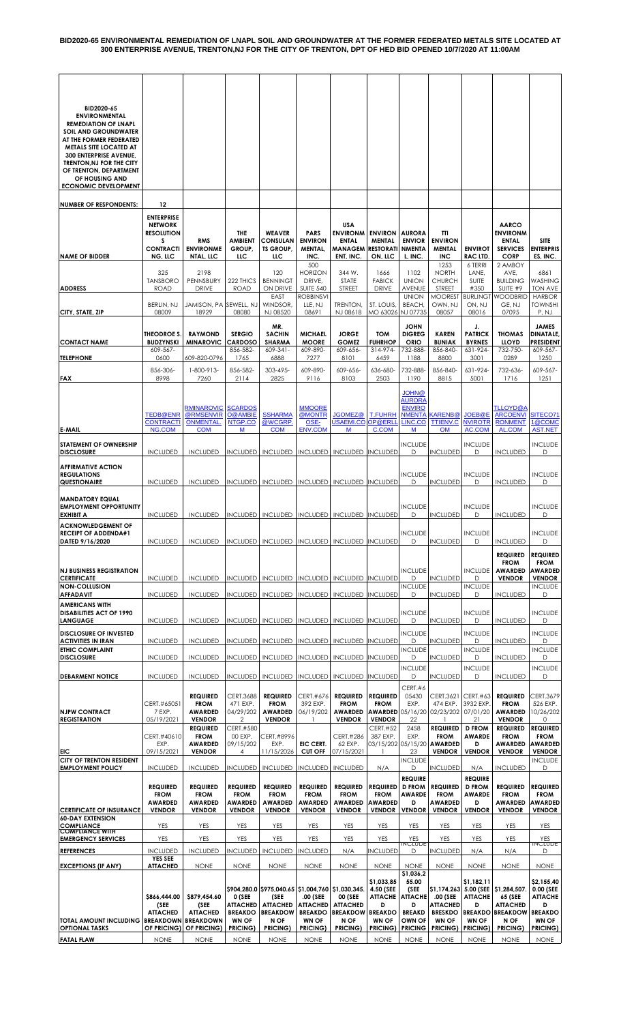| BID2020-65<br><b>ENVIRONMENTAL</b><br><b>REMEDIATION OF LNAPL</b><br><b>SOIL AND GROUNDWATER</b><br>AT THE FORMER FEDERATED<br><b>METALS SITE LOCATED AT</b> |                                       |                                   |                                   |                                                           |                                                           |                                           |                                       |                                                       |                                                           |                                           |                                                                   |                                                                   |
|--------------------------------------------------------------------------------------------------------------------------------------------------------------|---------------------------------------|-----------------------------------|-----------------------------------|-----------------------------------------------------------|-----------------------------------------------------------|-------------------------------------------|---------------------------------------|-------------------------------------------------------|-----------------------------------------------------------|-------------------------------------------|-------------------------------------------------------------------|-------------------------------------------------------------------|
| <b>300 ENTERPRISE AVENUE,</b><br>TRENTON, NJ FOR THE CITY<br>OF TRENTON, DEPARTMENT<br>OF HOUSING AND<br><b>ECONOMIC DEVELOPMENT</b>                         |                                       |                                   |                                   |                                                           |                                                           |                                           |                                       |                                                       |                                                           |                                           |                                                                   |                                                                   |
|                                                                                                                                                              |                                       |                                   |                                   |                                                           |                                                           |                                           |                                       |                                                       |                                                           |                                           |                                                                   |                                                                   |
| <b>NUMBER OF RESPONDENTS:</b>                                                                                                                                | 12<br><b>ENTERPRISE</b>               |                                   |                                   |                                                           |                                                           |                                           |                                       |                                                       |                                                           |                                           |                                                                   |                                                                   |
|                                                                                                                                                              | <b>NETWORK</b>                        |                                   |                                   |                                                           |                                                           | USA                                       |                                       |                                                       |                                                           |                                           | <b>AARCO</b>                                                      |                                                                   |
|                                                                                                                                                              | <b>RESOLUTION</b><br>s                | <b>RMS</b>                        | THE<br><b>AMBIENT</b>             | <b>WEAVER</b><br>CONSULAN                                 | <b>PARS</b><br><b>ENVIRON</b>                             | <b>ENVIRONM</b><br><b>ENTAL</b>           | <b>ENVIRON</b><br><b>MENTAL</b>       | <b>AURORA</b><br><b>ENVIOR</b>                        | TΤΙ<br><b>ENVIRON</b>                                     |                                           | <b>ENVIRONM</b><br><b>ENTAL</b>                                   | <b>SITE</b>                                                       |
| <b>NAME OF BIDDER</b>                                                                                                                                        | <b>CONTRACTI</b><br>NG, LLC           | <b>ENVIRONME</b><br>NTAL, LLC     | GROUP,<br>uс                      | <b>TS GROUP,</b><br>пс                                    | <b>MENTAL,</b><br>INC.                                    | <b>MANAGEM</b><br>ENT, INC.               | <b>RESTORATI</b><br>ON, LLC           | <b>NMENTA</b><br>L, INC.                              | <b>MENTAL</b><br><b>INC</b>                               | <b>ENVIROT</b><br><b>RAC LTD</b>          | <b>SERVICES</b><br><b>CORP</b>                                    | <b>ENTERPRIS</b><br>ES, INC.                                      |
|                                                                                                                                                              |                                       |                                   |                                   |                                                           | 500                                                       |                                           |                                       |                                                       | 1253                                                      | 6 TERRI                                   | 2 AMBOY                                                           |                                                                   |
| <b>ADDRESS</b>                                                                                                                                               | 325<br><b>TANSBORO</b><br><b>ROAD</b> | 2198<br>PENNSBURY<br><b>DRIVE</b> | 222 THICS<br><b>ROAD</b>          | 120<br><b>BENNINGT</b><br>ON DRIVE<br>EAST                | <b>HORIZON</b><br>DRIVE,<br><b>SUITE 540</b><br>ROBBINSVI | 344 W.<br><b>STATE</b><br><b>STREET</b>   | 1666<br><b>FABICK</b><br><b>DRIVE</b> | 1102<br><b>UNION</b><br><b>AVENUE</b><br><b>UNION</b> | <b>NORTH</b><br><b>CHURCH</b><br><b>STREET</b><br>MOOREST | LANE,<br>SUITE<br>#350<br><b>BURLINGT</b> | AVE,<br><b>BUILDING</b><br>SUITE #9<br><b>WOODBRID</b>            | 6861<br>WASHING<br>TON AVE<br><b>HARBOR</b>                       |
| CITY, STATE, ZIP                                                                                                                                             | BERLIN, NJ<br>08009                   | JAMISON, PA SEWELL, NJ<br>18929   | 08080                             | WINDSOR,<br>NJ 08520                                      | LLE, NJ<br>08691                                          | TRENTON,<br>NJ 08618                      | ST. LOUIS,<br>MO 63026 NJ 07735       | <b>BEACH</b>                                          | OWN, NJ<br>08057                                          | ON, NJ<br>08016                           | GE, NJ<br>07095                                                   | <b>TOWNSHI</b><br>P, NJ                                           |
|                                                                                                                                                              |                                       |                                   |                                   | MR.                                                       |                                                           |                                           |                                       | <b>JOHN</b>                                           |                                                           | J.                                        |                                                                   | <b>JAMES</b>                                                      |
|                                                                                                                                                              | THEODROE S.                           | <b>RAYMOND</b>                    | <b>SERGIO</b>                     | <b>SACHIN</b>                                             | <b>MICHAEL</b>                                            | <b>JORGE</b>                              | <b>TOM</b>                            | <b>DIGREG</b>                                         | <b>KAREN</b>                                              | <b>PATRICK</b>                            | <b>THOMAS</b>                                                     | <b>DINATALE</b>                                                   |
| <b>CONTACT NAME</b>                                                                                                                                          | <b>BUDZYNSKI</b><br>609-567-          | <b>MINAROVIC</b>                  | <b>CARDOSO</b><br>856-582-        | <b>SHARMA</b><br>$609 - 341 -$                            | <b>MOORE</b><br>609-890-                                  | <b>GOMEZ</b><br>609-656-                  | <b>FUHRHOP</b><br>314-974-            | <b>ORIO</b><br>732-888                                | <b>BUNIAK</b><br>856-840-                                 | <b>BYRNES</b><br>631-924-                 | <b>LLOYD</b><br>732-750-                                          | <b>PRESIDENT</b><br>609-567-                                      |
| <b>TELEPHONE</b>                                                                                                                                             | 0600                                  | 609-820-0796                      | 1765                              | 6888                                                      | 7277                                                      | 8101                                      | 6459                                  | 1188                                                  | 8800                                                      | 3001                                      | 0289                                                              | 1250                                                              |
| <b>FAX</b>                                                                                                                                                   | 856-306-<br>8998                      | 1-800-913-<br>7260                | 856-582-<br>2114                  | 303-495-<br>2825                                          | 609-890-<br>9116                                          | 609-656-<br>8103                          | 636-680-<br>2503                      | 732-888<br>1190                                       | 856-840-<br>8815                                          | 631-924-<br>5001                          | 732-636-<br>1716                                                  | 609-567-<br>1251                                                  |
|                                                                                                                                                              |                                       | RMINAROVIC                        | <b>SCARDOS</b>                    |                                                           | <b>MMOORE</b>                                             |                                           |                                       | <u>JOHN@</u><br><b>AURORA</b><br><b>ENVIRO</b>        |                                                           |                                           | <b>TLLOYD@A</b>                                                   |                                                                   |
|                                                                                                                                                              | <b>TEDB@ENR</b><br><b>CONTRACTI</b>   | @RMSENVIR<br><b>ONMENTAL</b>      | O@AMBIE<br>NTGP.CO                | <b>SSHARMA</b><br>@WCGRP                                  | @MONTR<br>OSE-                                            | <b>JGOMEZ@</b><br><b>JSAEMI.CO</b>        | <b>T.FUHRH</b><br>OP@ERLI             | <b>NMENTA</b><br>LINC.CO                              | KARENB@<br><b>TTIENV.C</b>                                | <b>JOEB@E</b><br><b>NVIROTR</b>           | <b>ARCOENVI</b><br><b>RONMENT</b>                                 | SITECO71<br>1@COMC                                                |
| <b>E-MAIL</b>                                                                                                                                                | NG.COM                                | <b>COM</b>                        | M                                 | <b>COM</b>                                                | <b>ENV.COM</b>                                            | M                                         | <b>C.COM</b>                          | M                                                     | <b>OM</b>                                                 | <b>AC.COM</b>                             | AL.COM                                                            | <b>AST.NET</b>                                                    |
| <b>STATEMENT OF OWNERSHIP</b><br><b>DISCLOSURE</b>                                                                                                           | <b>INCLUDED</b>                       | <b>INCLUDED</b>                   | <b>INCLUDED</b>                   |                                                           |                                                           | INCLUDED   INCLUDED   INCLUDED   INCLUDED |                                       | <b>INCLUDE</b><br>D                                   | <b>INCLUDED</b>                                           | <b>INCLUDE</b><br>D                       | <b>INCLUDED</b>                                                   | <b>INCLUDE</b><br>D                                               |
| <b>AFFIRMATIVE ACTION</b><br><b>REGULATIONS</b>                                                                                                              |                                       |                                   |                                   |                                                           |                                                           |                                           |                                       | <b>INCLUDE</b>                                        |                                                           | <b>INCLUDE</b>                            |                                                                   | <b>INCLUDE</b>                                                    |
| QUESTIONAIRE                                                                                                                                                 | <b>INCLUDED</b>                       | <b>INCLUDED</b>                   |                                   | INCLUDED   INCLUDED   INCLUDED   INCLUDED   INCLUDED      |                                                           |                                           |                                       | D                                                     | <b>INCLUDED</b>                                           | D                                         | <b>INCLUDED</b>                                                   | D                                                                 |
| <b>MANDATORY EQUAL</b><br><b>EMPLOYMENT OPPORTUNITY</b><br><b>EXHIBIT A</b>                                                                                  | <b>INCLUDED</b>                       | <b>INCLUDED</b>                   |                                   | INCLUDED   INCLUDED   INCLUDED   INCLUDED   INCLUDED      |                                                           |                                           |                                       | <b>INCLUDE</b><br>D                                   | <b>INCLUDED</b>                                           | <b>INCLUDE</b><br>D                       | <b>INCLUDED</b>                                                   | <b>INCLUDE</b><br>D                                               |
| <b>ACKNOWLEDGEMENT OF</b><br><b>RECEIPT OF ADDENDA#1</b><br>DATED 9/16/2020                                                                                  | <b>INCLUDED</b>                       | <b>INCLUDED</b>                   |                                   | INCLUDED INCLUDED INCLUDED INCLUDED INCLUDED              |                                                           |                                           |                                       | <b>INCLUDE</b><br>D                                   | <b>INCLUDED</b>                                           | <b>INCLUDE</b><br>D                       | <b>INCLUDED</b>                                                   | <b>INCLUDE</b><br>D                                               |
| <b>NJ BUSINESS REGISTRATION</b><br><b>CERTIFICATE</b>                                                                                                        | <b>INCLUDED</b>                       | <b>INCLUDED</b>                   | <b>INCLUDED</b>                   |                                                           |                                                           | INCLUDED INCLUDED INCLUDED INCLUDED       |                                       | <b>INCLUDE</b><br>D                                   | <b>INCLUDED</b>                                           | <b>INCLUDE</b><br>D                       | <b>REQUIRED</b><br><b>FROM</b><br><b>AWARDED</b><br><b>VENDOR</b> | <b>REQUIRED</b><br><b>FROM</b><br><b>AWARDED</b><br><b>VENDOR</b> |
| <b>NON-COLLUSION</b><br><b>AFFADAVIT</b>                                                                                                                     | <b>INCLUDED</b>                       | <b>INCLUDED</b>                   | <b>INCLUDED</b>                   | <b>INCLUDED</b>                                           | <b>INCLUDED</b>                                           | <b>INCLUDED INCLUDED</b>                  |                                       | <b>INCLUDE</b><br>D                                   | <b>INCLUDED</b>                                           | <b>INCLUDE</b><br>D                       | <b>INCLUDED</b>                                                   | <b>INCLUDE</b><br>D                                               |
| <b>AMERICANS WITH</b><br><b>DISABILITIES ACT OF 1990</b><br><b>LANGUAGE</b>                                                                                  | <b>INCLUDED</b>                       | <b>INCLUDED</b>                   | <b>INCLUDED</b>                   | <b>INCLUDED</b>                                           |                                                           | INCLUDED   INCLUDED   INCLUDED            |                                       | <b>INCLUDE</b><br>D                                   | <b>INCLUDED</b>                                           | <b>INCLUDE</b><br>D                       | <b>INCLUDED</b>                                                   | <b>INCLUDE</b><br>D                                               |
| <b>DISCLOSURE OF INVESTED</b>                                                                                                                                |                                       |                                   | <b>INCLUDED</b>                   |                                                           |                                                           |                                           |                                       | <b>INCLUDE</b><br>D                                   |                                                           | <b>INCLUDE</b><br>D                       | <b>INCLUDED</b>                                                   | <b>INCLUDE</b>                                                    |
| <b>ACTIVITIES IN IRAN</b><br><b>ETHIC COMPLAINT</b>                                                                                                          | <b>INCLUDED</b>                       | <b>INCLUDED</b>                   |                                   | <b>INCLUDED</b>                                           |                                                           | INCLUDED   INCLUDED   INCLUDED            |                                       | <b>INCLUDE</b>                                        | <b>INCLUDED</b>                                           | <b>INCLUDE</b>                            |                                                                   | D<br><b>INCLUDE</b>                                               |
| <b>DISCLOSURE</b>                                                                                                                                            | <b>INCLUDED</b>                       | <b>INCLUDED</b>                   | <b>INCLUDED</b>                   | <b>INCLUDED</b>                                           | <b>INCLUDED</b>                                           | <b>INCLUDED INCLUDED</b>                  |                                       | D<br><b>INCLUDE</b>                                   | <b>INCLUDED</b>                                           | D<br><b>INCLUDE</b>                       | <b>INCLUDED</b>                                                   | D<br><b>INCLUDE</b>                                               |
| <b>DEBARMENT NOTICE</b>                                                                                                                                      | <b>INCLUDED</b>                       | <b>INCLUDED</b>                   | <b>INCLUDED</b>                   | <b>INCLUDED</b>                                           | <b>INCLUDED</b>                                           | <b>INCLUDED  INCLUDED</b>                 |                                       | D<br>CERT.#6                                          | <b>INCLUDED</b>                                           | D                                         | <b>INCLUDED</b>                                                   | D                                                                 |
|                                                                                                                                                              | CERT.#65051                           | <b>REQUIRED</b><br><b>FROM</b>    | CERT.3688<br>471 EXP.             | <b>REQUIRED</b><br><b>FROM</b>                            | CERT.#676<br>392 EXP.                                     | <b>REQUIRED</b><br><b>FROM</b>            | <b>REQUIRED</b><br><b>FROM</b>        | 05430<br>EXP.                                         | CERT.3621<br>474 EXP.                                     | CERT.#63<br>3932 EXP                      | <b>REQUIRED</b><br><b>FROM</b>                                    | CERT.3679<br>526 EXP.                                             |
| <b>NJPW CONTRACT</b><br><b>REGISTRATION</b>                                                                                                                  | 7 EXP.<br>05/19/2021                  | <b>AWARDED</b><br><b>VENDOR</b>   | 04/29/202<br>$\overline{2}$       | <b>AWARDED</b><br><b>VENDOR</b>                           | 06/19/202<br>$\mathbf{1}$                                 | <b>AWARDED</b><br><b>VENDOR</b>           | <b>AWARDED</b><br><b>VENDOR</b>       | 05/16/20<br>22                                        | 02/23/202                                                 | 07/01/20<br>21                            | <b>AWARDED</b><br><b>VENDOR</b>                                   | 10/26/202<br>0                                                    |
|                                                                                                                                                              | CERT.#40610                           | <b>REQUIRED</b><br><b>FROM</b>    | <b>CERT.#580</b><br>00 EXP.       | CERT.#8996                                                |                                                           | CERT.#286                                 | <b>CERT.#52</b><br>387 EXP.           | 2458<br>EXP.                                          | <b>REQUIRED</b><br><b>FROM</b>                            | <b>D FROM</b><br><b>AWARDE</b>            | <b>REQUIRED</b><br><b>FROM</b>                                    | <b>REQUIRED</b><br><b>FROM</b>                                    |
|                                                                                                                                                              | EXP.                                  | <b>AWARDED</b>                    | 09/15/202                         | EXP.                                                      | EIC CERT.                                                 | 62 EXP.                                   | 03/15/202 05/15/20                    |                                                       | <b>AWARDED</b>                                            | D                                         | <b>AWARDED</b>                                                    | <b>AWARDED</b>                                                    |
| EIC<br><b>CITY OF TRENTON RESIDENT</b>                                                                                                                       | 09/15/2021                            | <b>VENDOR</b>                     | 4                                 | 11/15/2026                                                | <b>CUT OFF</b>                                            | 07/15/2021                                |                                       | 23<br><b>INCLUDE</b>                                  | <b>VENDOR</b>                                             | <b>VENDOR</b>                             | <b>VENDOR</b>                                                     | <b>VENDOR</b><br><b>INCLUDE</b>                                   |
| <b>EMPLOYMENT POLICY</b>                                                                                                                                     | <b>INCLUDED</b>                       | <b>INCLUDED</b>                   | <b>INCLUDED</b>                   | <b>INCLUDED</b>                                           | <b>INCLUDED</b>                                           | <b>INCLUDED</b>                           | N/A                                   | D<br><b>REQUIRE</b>                                   | <b>INCLUDED</b>                                           | N/A                                       | <b>INCLUDED</b>                                                   | D                                                                 |
|                                                                                                                                                              | <b>REQUIRED</b>                       | <b>REQUIRED</b>                   | <b>REQUIRED</b>                   | <b>REQUIRED</b>                                           | <b>REQUIRED</b>                                           | <b>REQUIRED</b>                           | <b>REQUIRED</b>                       | <b>D FROM</b>                                         | <b>REQUIRED</b>                                           | <b>REQUIRE</b><br><b>D FROM</b>           | <b>REQUIRED</b>                                                   | <b>REQUIRED</b>                                                   |
|                                                                                                                                                              | <b>FROM</b><br><b>AWARDED</b>         | <b>FROM</b><br><b>AWARDED</b>     | <b>FROM</b><br><b>AWARDED</b>     | <b>FROM</b><br><b>AWARDED</b>                             | <b>FROM</b><br><b>AWARDED</b>                             | <b>FROM</b><br><b>AWARDED</b>             | <b>FROM</b><br><b>AWARDED</b>         | <b>AWARDE</b><br>D                                    | <b>FROM</b><br><b>AWARDED</b>                             | <b>AWARDE</b><br>D                        | <b>FROM</b><br><b>AWARDED</b>                                     | <b>FROM</b><br><b>AWARDED</b>                                     |
| <b>CERTIFICATE OF INSURANCE</b><br><b>60-DAY EXTENSION</b>                                                                                                   | <b>VENDOR</b>                         | <b>VENDOR</b>                     | <b>VENDOR</b>                     | <b>VENDOR</b>                                             | <b>VENDOR</b>                                             | <b>VENDOR</b>                             | <b>VENDOR</b>                         | <b>VENDOR</b>                                         | <b>VENDOR</b>                                             | <b>VENDOR</b>                             | <b>VENDOR</b>                                                     | <b>VENDOR</b>                                                     |
| <b>COMPLIANCE</b><br><b>COMPLIANCE WITH</b>                                                                                                                  | YES                                   | YES                               | YES                               | YES                                                       | YES                                                       | YES                                       | YES                                   | YES                                                   | YES                                                       | YES                                       | YES                                                               | YES                                                               |
| <b>EMERGENCY SERVICES</b>                                                                                                                                    | YES                                   | YES                               | YES                               | YES                                                       | YES                                                       | YES                                       | <b>YES</b>                            | YES<br>INCLUDE                                        | YES                                                       | YES                                       | YES                                                               | YES<br>INCLUDE                                                    |
| <b>REFERENCES</b>                                                                                                                                            | <b>INCLUDED</b><br><b>YES SEE</b>     | <b>INCLUDED</b>                   | <b>INCLUDED</b>                   | <b>INCLUDED</b>                                           | <b>INCLUDED</b>                                           | N/A                                       | <b>INCLUDED</b>                       | D                                                     | <b>INCLUDED</b>                                           | N/A                                       | N/A                                                               | D                                                                 |
| <b>EXCEPTIONS (IF ANY)</b>                                                                                                                                   | <b>ATTACHED</b>                       | <b>NONE</b>                       | <b>NONE</b>                       | <b>NONE</b>                                               | <b>NONE</b>                                               | <b>NONE</b>                               | <b>NONE</b>                           | <b>NONE</b>                                           | <b>NONE</b>                                               | <b>NONE</b>                               | <b>NONE</b>                                                       | <b>NONE</b>                                                       |
|                                                                                                                                                              |                                       |                                   |                                   |                                                           |                                                           |                                           | \$1,033,85                            | \$1,036,2<br>55.00                                    |                                                           | \$1,182,11                                |                                                                   | \$2,155,40                                                        |
|                                                                                                                                                              | \$866,444.00                          | S879.454.60                       | 0 (SEE                            | \$904,280.0 \$975,040.65 \$1,004,760 \$1,030,345.<br>(SEE | .00 (SEE                                                  | 00 (SEE                                   | 4.50 (SEE<br><b>ATTACHE</b>           | (SEE<br><b>ATTACHE</b>                                | \$1,174,263 5.00 (SEE<br>.00 (SEE                         | <b>ATTACHE</b>                            | \$1,284,507.<br>65 (SEE                                           | 0.00 (SEE<br><b>ATTACHE</b>                                       |
|                                                                                                                                                              | (SEE<br><b>ATTACHED</b>               | (SEE<br><b>ATTACHED</b>           | <b>ATTACHED</b><br><b>BREAKDO</b> | <b>ATTACHED</b><br><b>BREAKDOW</b>                        | <b>ATTACHED</b><br><b>BREAKDO</b>                         | <b>ATTACHED</b><br><b>BREAKDOW</b>        | D<br><b>BREAKDO</b>                   | D<br><b>BREAKD</b>                                    | <b>ATTACHED</b><br><b>BRESKDO</b>                         | D                                         | <b>ATTACHED</b><br><b>BREAKDO BREAKDOW BREAKDO</b>                | D                                                                 |
| <b>TOTAL AMOUNT INCLUDING</b>                                                                                                                                | <b>BREAKDOWN</b>                      | <b>BREAKDOWN</b>                  | <b>WN OF</b>                      | N OF                                                      | <b>WN OF</b>                                              | N OF                                      | <b>WN OF</b>                          | OWN OF                                                | <b>WN OF</b>                                              | <b>WN OF</b>                              | N OF                                                              | <b>WN OF</b>                                                      |
| <b>OPTIONAL TASKS</b><br><b>FATAL FLAW</b>                                                                                                                   | OF PRICING)<br><b>NONE</b>            | OF PRICING)<br><b>NONE</b>        | <b>PRICING</b> )<br><b>NONE</b>   | <b>PRICING</b> )<br><b>NONE</b>                           | <b>PRICING)</b><br><b>NONE</b>                            | <b>PRICING)</b><br><b>NONE</b>            | <b>PRICING)</b><br><b>NONE</b>        | <b>PRICING</b><br><b>NONE</b>                         | PRICING)<br><b>NONE</b>                                   | <b>PRICING)</b><br><b>NONE</b>            | <b>PRICING</b> )<br><b>NONE</b>                                   | PRICING)<br><b>NONE</b>                                           |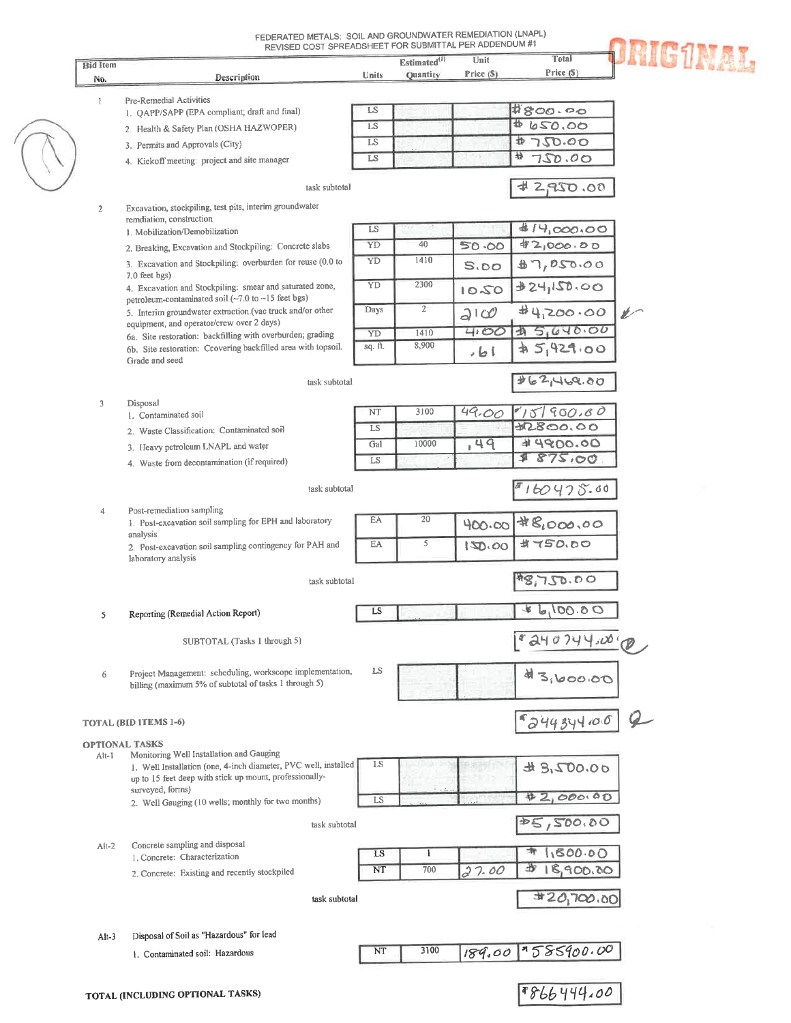| <b>Bid Item</b> |                                                                                                                             |               | Estimated <sup>(1)</sup> | Unit       | Total          | <b>RIG1NAL</b> |
|-----------------|-----------------------------------------------------------------------------------------------------------------------------|---------------|--------------------------|------------|----------------|----------------|
| No.             | Description                                                                                                                 | Units         | <b>Quantity</b>          | Price (\$) | Price (\$)     |                |
|                 |                                                                                                                             |               |                          |            |                |                |
| 1               | Pre-Remedial Activities                                                                                                     |               |                          |            | #800.00        |                |
|                 | 1. QAPP/SAPP (EPA compliant; draft and final)                                                                               | LS            |                          |            |                |                |
|                 | 2. Health & Safety Plan (OSHA HAZWOPER)                                                                                     | <b>LS</b>     |                          |            | \$ 650.00      |                |
|                 | 3. Permits and Approvals (City)                                                                                             | LS            |                          |            | 妆<br>750.00    |                |
|                 | 4. Kickoff meeting: project and site manager                                                                                | LS            |                          |            | 静<br>750.00    |                |
|                 |                                                                                                                             |               |                          |            |                |                |
|                 | task subtotal                                                                                                               |               |                          |            | 90.0282        |                |
| $\mathbf{2}$    | Excavation, stockpiling, test pits, interim groundwater                                                                     |               |                          |            |                |                |
|                 | remdiation, construction                                                                                                    |               |                          |            |                |                |
|                 | 1. Mobilization/Demobilization                                                                                              | LS            |                          |            | 414,000.00     |                |
|                 | 2. Breaking, Excavation and Stockpiling: Concrete slabs                                                                     | YD            | 40                       | 50.00      | 42,000.00      |                |
|                 | 3. Excavation and Stockpiling: overburden for reuse (0.0 to                                                                 | YD            | 1410                     | S.00       | 87,050.00      |                |
|                 | 7.0 feet bgs)<br>4. Excavation and Stockpiling: smear and saturated zone,                                                   | YD            | 2300                     |            | 324,150.00     |                |
|                 | petroleum-contaminated soil (~7.0 to ~15 feet bgs)                                                                          |               |                          | 1050       |                |                |
|                 | 5. Interim groundwater extraction (vac truck and/or other                                                                   | Days          | $\overline{2}$           | 2100       | 44,200.00      | $\mathscr{L}$  |
|                 | equipment, and operator/crew over 2 days)                                                                                   |               | 1410                     | 4.00       | 45,640.00      |                |
|                 | 6a. Site restoration: backfilling with overburden; grading<br>6b. Site restoration: Ccovering backfilled area with topsoil. | YD<br>sq. ft. | 8,900                    |            |                |                |
|                 | Grade and seed                                                                                                              |               |                          | ا ما ،     | 45,929.00      |                |
|                 |                                                                                                                             |               |                          |            |                |                |
|                 | task subtotal                                                                                                               |               |                          |            | 262,469.00     |                |
| 3               | Disposal                                                                                                                    |               |                          |            |                |                |
|                 | 1. Contaminated soil                                                                                                        | NT            | 3100                     | 49.00      | 15190.80       |                |
|                 | 2. Waste Classification: Contaminated soil                                                                                  | LS            |                          |            | \$2800.00      |                |
|                 | 3. Heavy petroleum LNAPL and water                                                                                          | Gal           | 10000                    | 749        | 44900.00       |                |
|                 | 4. Waste from decontamination (if required)                                                                                 | LS            |                          |            | 875.00<br>₫    |                |
|                 |                                                                                                                             |               |                          |            |                |                |
|                 | task subtotal                                                                                                               |               |                          |            | 160475.00      |                |
| 4               | Post-remediation sampling                                                                                                   |               |                          |            |                |                |
|                 | 1. Post-excavation soil sampling for EPH and laboratory                                                                     | EA            | 20                       | 400.00     | #8,000.00      |                |
|                 | analysis                                                                                                                    |               |                          |            |                |                |
|                 | 2. Post-excavation soil sampling contingency for PAH and                                                                    | EA            | 5                        | 150.00     | <b>当てらの、わつ</b> |                |
|                 | laboratory analysis                                                                                                         |               |                          |            |                |                |
|                 | task subtotal                                                                                                               |               |                          |            | 48,750.00      |                |
|                 |                                                                                                                             |               |                          |            |                |                |
|                 | Reporting (Remedial Action Report)                                                                                          | LS            |                          |            | 0.00164        |                |
|                 |                                                                                                                             |               |                          |            |                |                |
|                 | SUBTOTAL (Tasks 1 through 5)                                                                                                |               |                          |            | 240744.0090    |                |
|                 |                                                                                                                             |               |                          |            |                |                |
| 6               | Project Management: scheduling, workscope implementation,                                                                   | LS            |                          |            | 43,600,00      |                |
|                 | billing (maximum 5% of subtotal of tasks 1 through 5)                                                                       |               |                          |            |                |                |
|                 |                                                                                                                             |               |                          |            |                |                |
|                 | <b>TOTAL (BID ITEMS 1-6)</b>                                                                                                |               |                          |            | 5244344.00     |                |
|                 |                                                                                                                             |               |                          |            |                |                |
|                 | <b>OPTIONAL TASKS</b><br>Monitoring Well Installation and Gauging                                                           |               |                          |            |                |                |
| Alt-1           | 1. Well Installation (one, 4-inch diameter, PVC well, installed                                                             | LS            |                          |            | 0.007.84       |                |
|                 | up to 15 feet deep with stick up mount, professionally-                                                                     |               |                          |            |                |                |
|                 |                                                                                                                             |               |                          |            | #2,000.00      |                |
|                 | surveyed, forms)                                                                                                            |               |                          |            |                |                |
|                 | 2. Well Gauging (10 wells; monthly for two months)                                                                          | LS            |                          |            |                |                |
|                 | task subtotal                                                                                                               |               |                          |            | 25,500.00      |                |
|                 |                                                                                                                             |               |                          |            |                |                |
| $Alt-2$         | Concrete sampling and disposal                                                                                              | LS            | $\mathbf{I}$             |            | 1,800.00       |                |
|                 | 1. Concrete: Characterization                                                                                               |               | 700                      |            | 步              |                |
|                 | 2. Concrete: Existing and recently stockpiled                                                                               | NT            |                          | 27.00      | 18,900.00      |                |
|                 | task subtotal                                                                                                               |               |                          |            |                |                |
|                 |                                                                                                                             |               |                          |            | 420,700.00     |                |
|                 |                                                                                                                             |               |                          |            |                |                |
| $Alt-3$         | Disposal of Soil as "Hazardous" for lead                                                                                    |               |                          |            |                |                |
|                 | 1. Contaminated soil: Hazardous                                                                                             | NT            | 3100                     | 189.00     | 7585900.00     |                |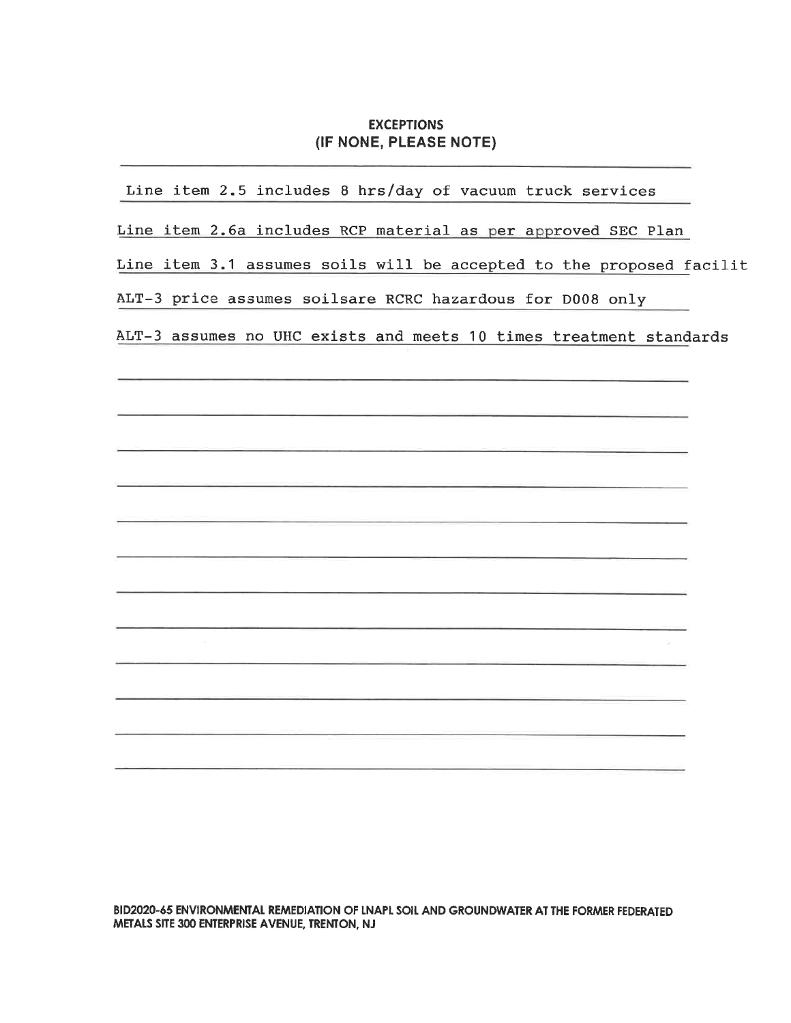#### **EXCEPTIONS** (IF NONE, PLEASE NOTE)

| Line item 2.5 includes 8 hrs/day of vacuum truck services            |
|----------------------------------------------------------------------|
| Line item 2.6a includes RCP material as per approved SEC Plan        |
| Line item 3.1 assumes soils will be accepted to the proposed facilit |
| ALT-3 price assumes soilsare RCRC hazardous for D008 only            |
| ALT-3 assumes no UHC exists and meets 10 times treatment standards   |
|                                                                      |
|                                                                      |
|                                                                      |
|                                                                      |
|                                                                      |
|                                                                      |
|                                                                      |
|                                                                      |
|                                                                      |
|                                                                      |
|                                                                      |
|                                                                      |

BID2020-65 ENVIRONMENTAL REMEDIATION OF LNAPL SOIL AND GROUNDWATER AT THE FORMER FEDERATED METALS SITE 300 ENTERPRISE AVENUE, TRENTON, NJ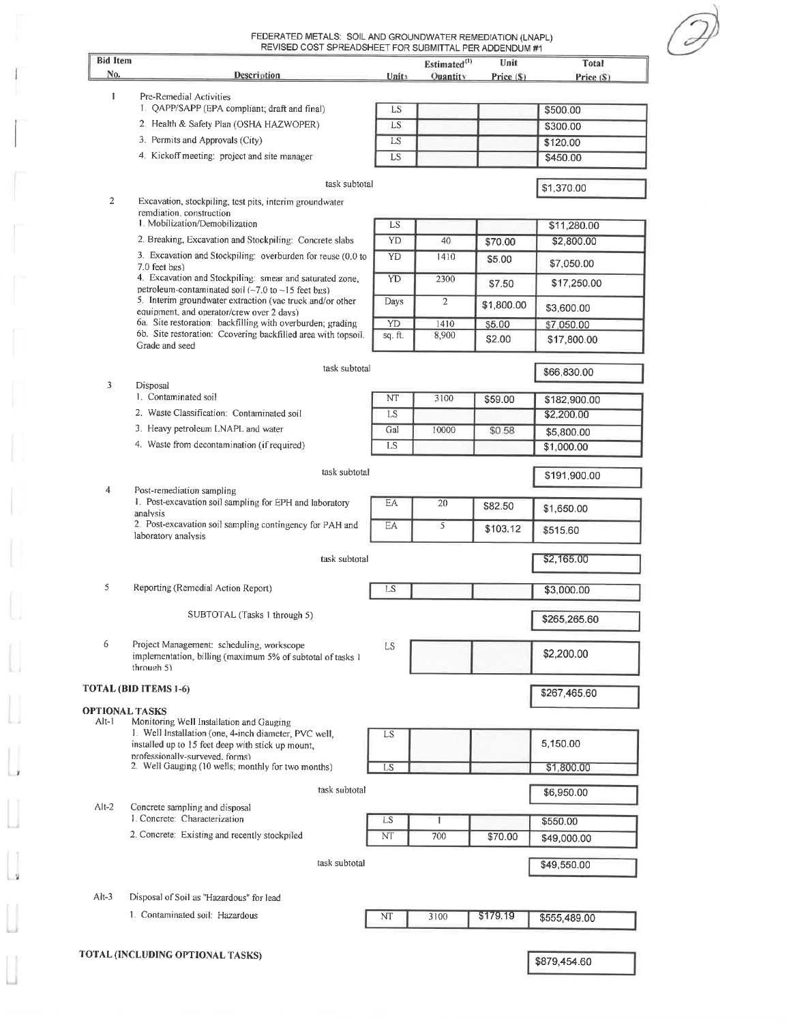| <b>Bid Item</b> | REVISED COST SPREADSHEET FOR SUBMITTAL PER ADDENDUM #1                                                                                    |              | Estimated <sup>(1)</sup> | Unit        | Total        |
|-----------------|-------------------------------------------------------------------------------------------------------------------------------------------|--------------|--------------------------|-------------|--------------|
| No.             | Description                                                                                                                               | <b>Units</b> | Quantity                 | Price $(S)$ | Price (S)    |
| 1               | Pre-Remedial Activities                                                                                                                   |              |                          |             |              |
|                 | 1. QAPP/SAPP (EPA compliant, draft and final)                                                                                             | LS           |                          |             | \$500.00     |
|                 | 2. Health & Safety Plan (OSHA HAZWOPER)                                                                                                   | <b>LS</b>    |                          |             | \$300.00     |
|                 | 3. Permits and Approvals (City)                                                                                                           | LS           |                          |             | \$120.00     |
|                 | 4. Kickoff meeting: project and site manager                                                                                              | LS           |                          |             | \$450.00     |
|                 | task subtotal                                                                                                                             |              |                          |             | \$1,370.00   |
| 2               | Excavation, stockpiling, test pits, interim groundwater<br>remdiation, construction                                                       |              |                          |             |              |
|                 | 1. Mobilization/Demobilization                                                                                                            | LS           |                          |             | \$11,280.00  |
|                 | 2. Breaking, Excavation and Stockpiling: Concrete slabs                                                                                   | YD           | 40                       | \$70.00     | \$2,800.00   |
|                 | 3. Excavation and Stockpiling: overburden for reuse (0.0 to<br>7.0 feet bgs)                                                              | YD           | 1410                     | \$5.00      | \$7,050.00   |
|                 | 4. Excavation and Stockpiling: smear and saturated zone,<br>petroleum-contaminated soil $(-7.0 \text{ to } -15 \text{ feet} \text{ bgs})$ | YD           | 2300                     | \$7.50      | \$17,250.00  |
|                 | 5. Interim groundwater extraction (vac truck and/or other<br>equipment, and operator/crew over 2 days)                                    | Days         | $\overline{2}$           | \$1,800.00  | \$3,600.00   |
|                 | 6a. Site restoration: backfilling with overburden; grading                                                                                | YD           | 1410                     | \$5.00      | \$7,050.00   |
|                 | 6b. Site restoration: Ccovering backfilled area with topsoil.<br>Grade and seed                                                           | sq. ft.      | 8,900                    | \$2.00      | \$17,800.00  |
|                 | task subtotal                                                                                                                             |              |                          |             | \$66,830.00  |
| 3               | Disposal                                                                                                                                  |              |                          |             |              |
|                 | 1. Contaminated soil                                                                                                                      | NT           | 3100                     | \$59.00     | \$182,900.00 |
|                 | 2. Waste Classification: Contaminated soil                                                                                                | LS           |                          |             | \$2,200.00   |
|                 | 3. Heavy petroleum LNAPL and water                                                                                                        | Gal          | 10000                    | \$0.58      | \$5,800.00   |
|                 | 4. Waste from decontamination (if required)                                                                                               | LS           |                          |             | \$1,000.00   |
|                 | task subtotal                                                                                                                             |              |                          |             | \$191,900.00 |
| 4               | Post-remediation sampling<br>1. Post-excavation soil sampling for EPH and laboratory<br>analysis                                          | EA           | 20                       | \$82.50     | \$1,650.00   |
|                 | 2. Post-excavation soil sampling contingency for PAH and<br>laboratory analysis                                                           | EA           | 5                        | \$103.12    | \$515.60     |
|                 | task subtotal                                                                                                                             |              |                          |             | \$2,165.00   |
| 5               | Reporting (Remedial Action Report)                                                                                                        | LS           |                          |             | \$3,000.00   |
|                 |                                                                                                                                           |              |                          |             |              |
|                 | SUBTOTAL (Tasks 1 through 5)                                                                                                              |              |                          |             | \$265,265.60 |
| 6               | Project Management: scheduling, workscope<br>implementation, billing (maximum 5% of subtotal of tasks 1<br>through 5)                     | LS           |                          |             | \$2,200.00   |
|                 | TOTAL (BID ITEMS 1-6)                                                                                                                     |              |                          |             | \$267,465.60 |
|                 | <b>OPTIONAL TASKS</b>                                                                                                                     |              |                          |             |              |
| Alt-1           | Monitoring Well Installation and Gauging<br>1. Well Installation (one, 4-inch diameter, PVC well,                                         | LS           |                          |             |              |
|                 | installed up to 15 feet deep with stick up mount,<br>professionally-surveyed, forms)                                                      |              |                          |             | 5,150.00     |
|                 | 2. Well Gauging (10 wells; monthly for two months)                                                                                        | LS           |                          |             | \$1,800.00   |
|                 | task subtotal                                                                                                                             |              |                          |             | \$6,950.00   |
| $Alt-2$         | Concrete sampling and disposal<br>1. Concrete: Characterization                                                                           | LS           | 1                        |             | \$550.00     |
|                 | 2. Concrete: Existing and recently stockpiled                                                                                             | NT           | 700                      | \$70.00     | \$49,000.00  |
|                 | task subtotal                                                                                                                             |              |                          |             | \$49,550.00  |
|                 |                                                                                                                                           |              |                          |             |              |
| $Alt-3$         | Disposal of Soil as "Hazardous" for lead<br>1. Contaminated soil: Hazardous                                                               |              |                          |             |              |
|                 |                                                                                                                                           | NT           | 3100                     | \$179.19    | \$555,489.00 |
|                 | TOTAL (INCLUDING OPTIONAL TASKS)                                                                                                          |              |                          |             |              |
|                 |                                                                                                                                           |              |                          |             | \$879,454.60 |

 $\overline{z}$ 

L.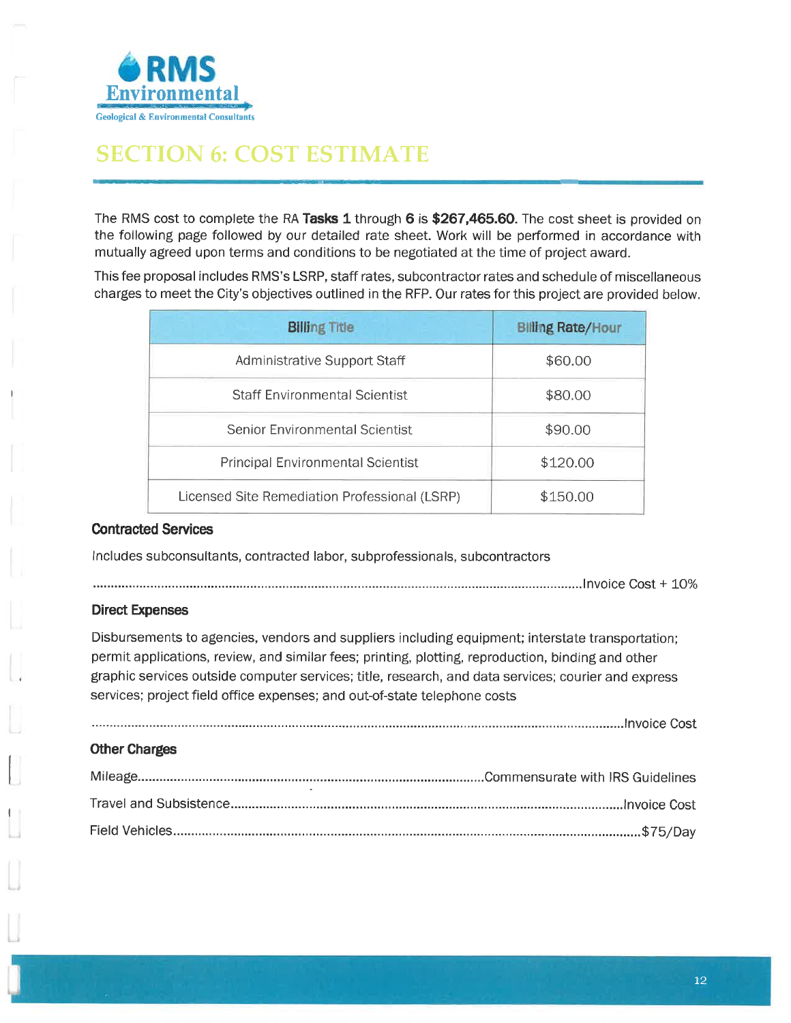

# **SECTION 6: COST ESTIMATE**

The RMS cost to complete the RA Tasks 1 through 6 is \$267,465.60. The cost sheet is provided on the following page followed by our detailed rate sheet. Work will be performed in accordance with mutually agreed upon terms and conditions to be negotiated at the time of project award.

This fee proposal includes RMS's LSRP, staff rates, subcontractor rates and schedule of miscellaneous charges to meet the City's objectives outlined in the RFP. Our rates for this project are provided below.

| <b>Billing Title</b>                          | <b>Billing Rate/Hour</b> |
|-----------------------------------------------|--------------------------|
| Administrative Support Staff                  | \$60.00                  |
| <b>Staff Environmental Scientist</b>          | \$80.00                  |
| <b>Senior Environmental Scientist</b>         | \$90.00                  |
| <b>Principal Environmental Scientist</b>      | \$120.00                 |
| Licensed Site Remediation Professional (LSRP) | \$150.00                 |

#### **Contracted Services**

Includes subconsultants, contracted labor, subprofessionals, subcontractors

#### **Direct Expenses**

Disbursements to agencies, vendors and suppliers including equipment; interstate transportation; permit applications, review, and similar fees; printing, plotting, reproduction, binding and other graphic services outside computer services; title, research, and data services; courier and express services; project field office expenses; and out-of-state telephone costs

#### **Other Charges**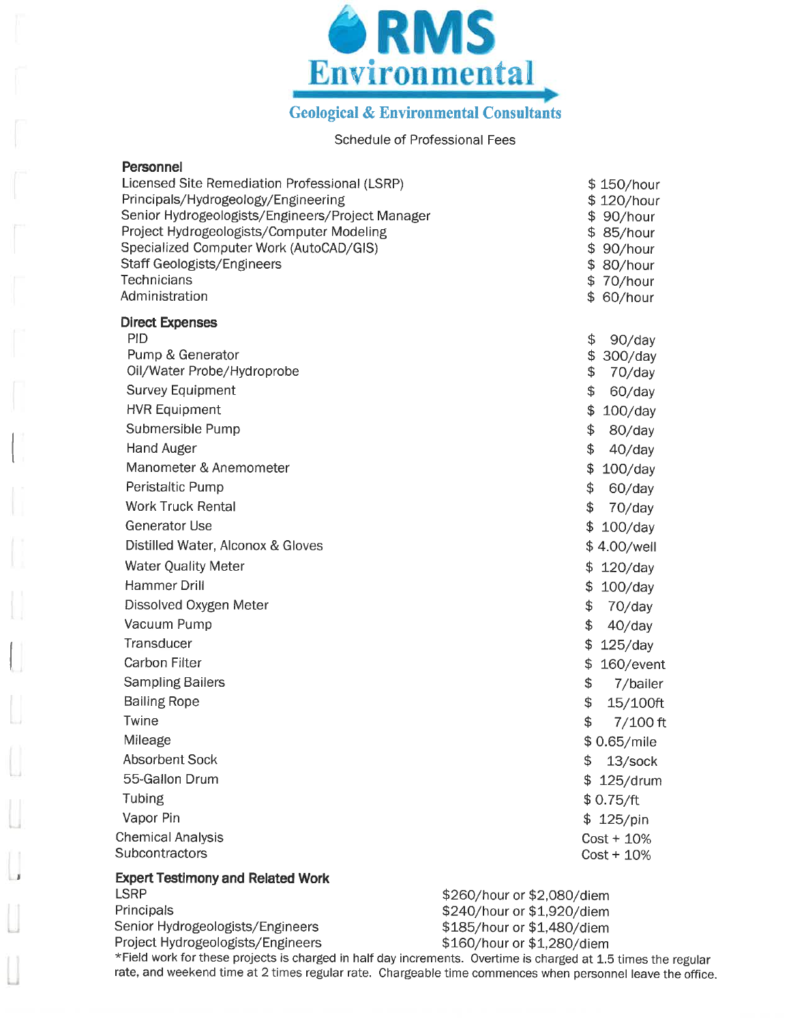

**Geological & Environmental Consultants** 

#### Schedule of Professional Fees

| Licensed Site Remediation Professional (LSRP)<br>\$150/hour<br>\$120/hour<br>Senior Hydrogeologists/Engineers/Project Manager<br>\$90/hour<br>\$ 85/hour<br>\$<br>90/hour<br>\$ 80/hour<br>\$70/hour<br>\$60/hour |
|-------------------------------------------------------------------------------------------------------------------------------------------------------------------------------------------------------------------|
|                                                                                                                                                                                                                   |
| \$<br>$90$ /day                                                                                                                                                                                                   |
| \$<br>300/day                                                                                                                                                                                                     |
| \$<br>70/day                                                                                                                                                                                                      |
| \$<br>60/day<br>\$                                                                                                                                                                                                |
| 100/day<br>\$                                                                                                                                                                                                     |
| 80/day<br>\$<br>$40$ /day                                                                                                                                                                                         |
| \$<br>$100$ /day                                                                                                                                                                                                  |
| \$<br>60/day                                                                                                                                                                                                      |
| \$<br>70/day                                                                                                                                                                                                      |
| $100$ /day<br>\$                                                                                                                                                                                                  |
| \$4.00/well                                                                                                                                                                                                       |
| \$<br>$120$ /day                                                                                                                                                                                                  |
| \$<br>$100$ /day                                                                                                                                                                                                  |
| \$<br>70/day                                                                                                                                                                                                      |
| \$<br>$40$ /day                                                                                                                                                                                                   |
| \$<br>$125$ /day                                                                                                                                                                                                  |
| \$<br>160/event                                                                                                                                                                                                   |
| \$<br>7/bailer                                                                                                                                                                                                    |
| \$<br>15/100ft                                                                                                                                                                                                    |
| \$<br>$7/100$ ft                                                                                                                                                                                                  |
| \$0.65/mile                                                                                                                                                                                                       |
| \$<br>13/sock                                                                                                                                                                                                     |
| \$125/drum                                                                                                                                                                                                        |
| \$0.75/ft                                                                                                                                                                                                         |
| \$125/pin                                                                                                                                                                                                         |
| $Cost + 10\%$                                                                                                                                                                                                     |
| $Cost + 10\%$                                                                                                                                                                                                     |
|                                                                                                                                                                                                                   |
| \$260/hour or \$2,080/diem                                                                                                                                                                                        |
| \$240/hour or \$1,920/diem<br>\$185/hour or \$1,480/diem                                                                                                                                                          |
| \$160/hour or \$1,280/diem                                                                                                                                                                                        |
|                                                                                                                                                                                                                   |

\*Field work for these projects is charged in half day increments. Overtime is charged at 1.5 times the regular rate, and weekend time at 2 times regular rate. Chargeable time commences when personnel leave the office.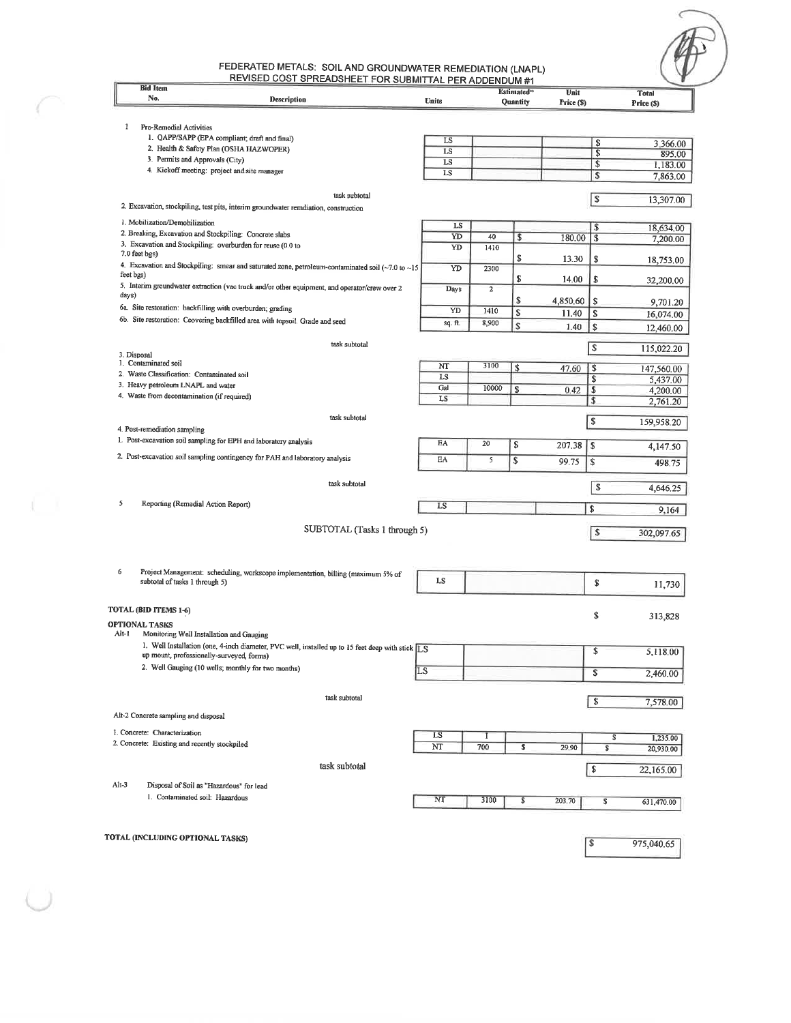## FEDERATED METALS: SOIL AND GROUNDWATER REMEDIATION (LNAPL)<br>REVISED COST SPREADSHEET FOR SUBMITTAL PFR ADDENDIM #1

 $\subset$ 

 $\sqrt{2}$ 

| <b>Bid Item</b>                                                    | <b>COOT OF READORTEET FOR SOBMITTAL FER ADDENDUM #1</b>                                                        |                |             | Estimated <sup>®</sup> | Unit       |                           | <b>Total</b>          |
|--------------------------------------------------------------------|----------------------------------------------------------------------------------------------------------------|----------------|-------------|------------------------|------------|---------------------------|-----------------------|
| No.                                                                | Description                                                                                                    | Units          |             | Quantity               | Price (\$) |                           | Price (\$)            |
|                                                                    |                                                                                                                |                |             |                        |            |                           |                       |
| 1<br>Pre-Remedial Activities                                       |                                                                                                                |                |             |                        |            |                           |                       |
|                                                                    | 1. QAPP/SAPP (EPA compliant; draft and final)                                                                  | LS             |             |                        |            | s                         | 3,366.00              |
|                                                                    | 2. Health & Safety Plan (OSHA HAZWOPER)<br>3. Permits and Approvals (City)                                     | LS             |             |                        |            | \$                        | 895.00                |
|                                                                    | 4. Kickoff meeting: project and site manager                                                                   | LS             |             |                        |            | $\sqrt{3}$                | 1,183.00              |
|                                                                    |                                                                                                                | LS             |             |                        |            | \$                        | 7,863.00              |
|                                                                    | task subtotal                                                                                                  |                |             |                        |            | $\sqrt{s}$                | 13,307.00             |
|                                                                    | 2. Excavation, stockpiling, test pits, interim groundwater remdiation, construction                            |                |             |                        |            |                           |                       |
| 1. Mobilization/Demobilization                                     |                                                                                                                | LS             |             |                        |            | $\sqrt[6]{3}$             |                       |
|                                                                    | 2. Breaking, Excavation and Stockpiling: Concrete slabs                                                        | YD             | 40          | \$                     | 180.00     | \$                        | 18,634.00<br>7,200.00 |
|                                                                    | 3. Excavation and Stockpiling: overburden for reuse (0.0 to                                                    | YD             | 1410        |                        |            |                           |                       |
| 7.0 feet bgs)                                                      |                                                                                                                |                |             | \$                     | 13.30      | \$                        | 18,753.00             |
| feet bgs)                                                          | 4. Excavation and Stockpiling: smear and saturated zone, petroleum-contaminated soil ( $\sim$ 7.0 to $\sim$ 15 | YD             | 2300        |                        |            |                           |                       |
|                                                                    | 5. Interim groundwater extraction (vac truck and/or other equipment, and operator/crew over 2                  | Days           | $\mathbf 2$ | \$                     | 14.00      | \$                        | 32,200.00             |
| days)                                                              |                                                                                                                |                |             | \$                     | 4,850.60   | s                         |                       |
|                                                                    | 6a. Site restoration: backfilling with overburden; grading                                                     | YD             | 1410        | \$                     |            |                           | 9,701.20              |
|                                                                    | 6b. Site restoration: Ccovering backfilled area with topsoil. Grade and seed                                   | sq. ft.        | 8,900       |                        | 11.40      | \$                        | 16,074.00             |
|                                                                    |                                                                                                                |                |             | \$                     | 1.40       | \$                        | 12,460.00             |
|                                                                    | task subtotal                                                                                                  |                |             |                        |            | \$                        | 115,022.20            |
| 3. Disposal                                                        |                                                                                                                |                |             |                        |            |                           |                       |
| 1. Contaminated soil<br>2. Waste Classification: Contaminated soil |                                                                                                                | NT             | 3100        | \$                     | 47.60      | \$                        | 147,560.00            |
| 3. Heavy petroleum LNAPL and water                                 |                                                                                                                | LS             |             |                        |            | \$                        | 5,437.00              |
| 4. Waste from decontamination (if required)                        |                                                                                                                | Gal            | 10000       | \$                     | 0.42       | S                         | 4,200.00              |
|                                                                    |                                                                                                                | LS             |             |                        |            | \$                        | 2,761.20              |
|                                                                    | task subtotal                                                                                                  |                |             |                        |            | \$                        | 159,958.20            |
| 4. Post-remediation sampling                                       |                                                                                                                |                |             |                        |            |                           |                       |
|                                                                    | 1. Post-excavation soil sampling for EPH and laboratory analysis                                               | EA             | 20          | \$                     | 207.38     | \$                        | 4,147.50              |
|                                                                    | 2. Post-excavation soil sampling contingency for PAH and laboratory analysis                                   | EA             | 5           | \$                     | 99.75      | \$                        | 498.75                |
|                                                                    |                                                                                                                |                |             |                        |            |                           |                       |
|                                                                    | task subtotal                                                                                                  |                |             |                        |            | $\boldsymbol{\mathsf{s}}$ | 4,646.25              |
| 5                                                                  | Reporting (Remedial Action Report)                                                                             |                |             |                        |            |                           |                       |
|                                                                    |                                                                                                                | LS             |             |                        |            | \$                        | 9,164                 |
|                                                                    | SUBTOTAL (Tasks 1 through 5)                                                                                   |                |             |                        |            | \$                        | 302,097.65            |
|                                                                    |                                                                                                                |                |             |                        |            |                           |                       |
|                                                                    |                                                                                                                |                |             |                        |            |                           |                       |
| 6                                                                  | Project Management: scheduling, workscope implementation, billing (maximum 5% of                               |                |             |                        |            |                           |                       |
| subtotal of tasks 1 through 5)                                     |                                                                                                                | LS             |             |                        |            | \$                        | 11,730                |
|                                                                    |                                                                                                                |                |             |                        |            |                           |                       |
| TOTAL (BID ITEMS 1-6)                                              |                                                                                                                |                |             |                        |            | \$                        |                       |
| <b>OPTIONAL TASKS</b>                                              |                                                                                                                |                |             |                        |            |                           | 313,828               |
| Alt-1                                                              | Monitoring Well Installation and Gauging                                                                       |                |             |                        |            |                           |                       |
|                                                                    | 1. Well Installation (one, 4-inch diameter, PVC well, installed up to 15 feet deep with stick LS               |                |             |                        |            | \$                        | 5,118.00              |
|                                                                    | up mount, professionally-surveyed, forms)                                                                      |                |             |                        |            |                           |                       |
|                                                                    | 2. Well Gauging (10 wells; monthly for two months)                                                             | L <sub>S</sub> |             |                        |            | \$                        | 2,460.00              |
|                                                                    |                                                                                                                |                |             |                        |            |                           |                       |
|                                                                    | task subtotal                                                                                                  |                |             |                        |            | \$                        | 7,578.00              |
| Alt-2 Concrete sampling and disposal                               |                                                                                                                |                |             |                        |            |                           |                       |
|                                                                    |                                                                                                                |                |             |                        |            |                           |                       |
| 1. Concrete: Characterization                                      |                                                                                                                | LS             | 1           |                        |            | \$                        | 1,235.00              |
| 2. Concrete: Existing and recently stockpiled                      |                                                                                                                | NT             | 700         | \$                     | 29.90      | \$                        | 20,930.00             |
|                                                                    | task subtotal                                                                                                  |                |             |                        |            |                           |                       |
|                                                                    |                                                                                                                |                |             |                        |            | \$                        | 22,165.00             |
| Alt-3                                                              | Disposal of Soil as "Hazardous" for lead                                                                       |                |             |                        |            |                           |                       |
|                                                                    | 1. Contaminated soil: Hazardous                                                                                | NT             | 3100        | \$                     | 203,70     | \$                        | 631,470.00            |
|                                                                    |                                                                                                                |                |             |                        |            |                           |                       |
|                                                                    |                                                                                                                |                |             |                        |            |                           |                       |
| TOTAL (INCLUDING OPTIONAL TASKS)                                   |                                                                                                                |                |             |                        |            |                           |                       |
|                                                                    |                                                                                                                |                |             |                        |            | \$                        | 975,040.65            |
|                                                                    |                                                                                                                |                |             |                        |            |                           |                       |

 $\subset$  $\underline{\mathscr{F}}$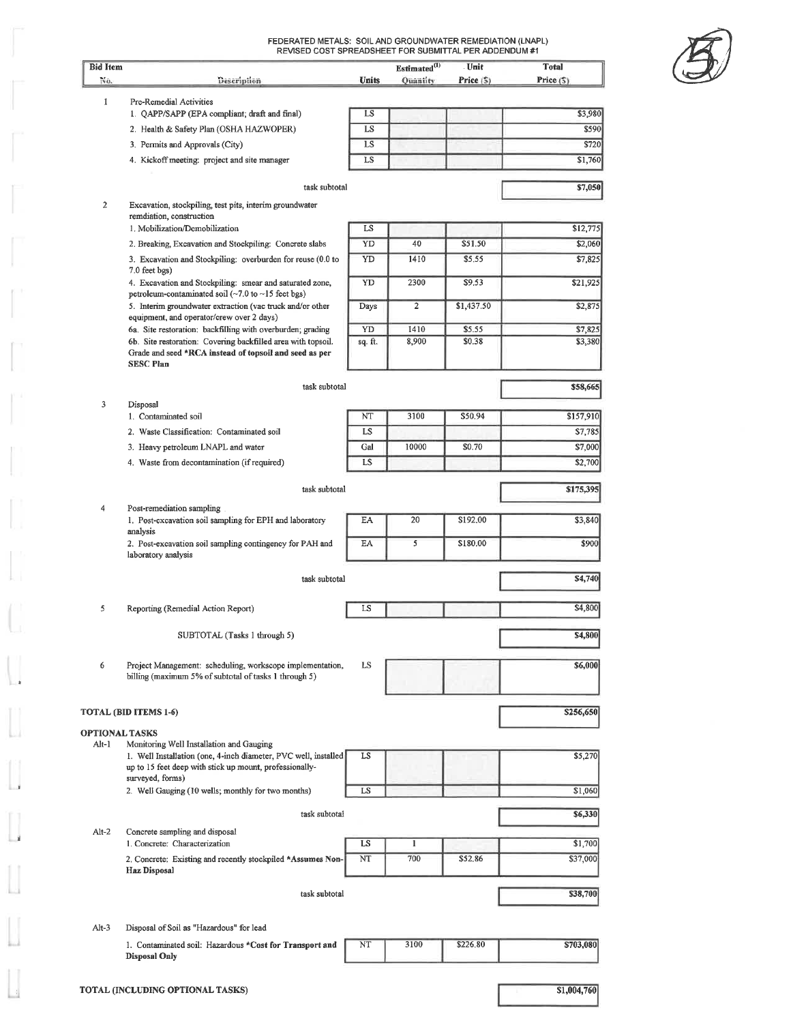FEDERATED METALS: SOIL AND GROUNDWATER REMEDIATION (LNAPL)<br>REVISED COST SPREADSHEET FOR SUBMITTAL PER ADDENDUM #1



| <b>Bid Item</b><br>No.         | Description                                                                                                                                                            | <b>Units</b> | Estimated <sup>(1)</sup><br>Quantity | - Unit<br>Price (S) | Total<br>Price(5)  |
|--------------------------------|------------------------------------------------------------------------------------------------------------------------------------------------------------------------|--------------|--------------------------------------|---------------------|--------------------|
|                                |                                                                                                                                                                        |              |                                      |                     |                    |
| 1                              | Pre-Remedial Activities<br>1. QAPP/SAPP (EPA compliant; draft and final)                                                                                               | LS           |                                      |                     | \$3,980            |
|                                | 2. Health & Safety Plan (OSHA HAZWOPER)                                                                                                                                | LS           |                                      |                     | \$590              |
|                                | 3. Permits and Approvals (City)                                                                                                                                        | <b>LS</b>    |                                      |                     | \$720              |
|                                | 4. Kickoff meeting: project and site manager                                                                                                                           | LS           |                                      |                     | \$1,760            |
|                                |                                                                                                                                                                        |              |                                      |                     |                    |
|                                | task subtotal                                                                                                                                                          |              |                                      |                     | \$7,050            |
| $\overline{c}$                 | Excavation, stockpiling, test pits, interim groundwater<br>remdiation, construction                                                                                    |              |                                      |                     |                    |
|                                | 1. Mobilization/Demobilization                                                                                                                                         | LS           |                                      |                     | \$12,775           |
|                                | 2. Breaking, Excavation and Stockpiling: Concrete slabs                                                                                                                | YD           | 40                                   | \$51.50             | \$2,060            |
|                                | 3. Excavation and Stockpiling: overburden for reuse (0.0 to<br>7.0 feet bgs)                                                                                           | YD           | 1410                                 | \$5.55              | \$7,825            |
|                                | 4. Excavation and Stockpiling: smear and saturated zone,<br>petroleum-contaminated soil $(-7.0 \text{ to } -15 \text{ feet bg})$                                       | YD           | 2300                                 | \$9,53              | \$21,925           |
|                                | 5. Interim groundwater extraction (vac truck and/or other<br>equipment, and operator/crew over 2 days)                                                                 | Days         | $\overline{2}$                       | \$1,437.50          | \$2,875            |
|                                | 6a. Site restoration: backfilling with overburden; grading                                                                                                             | YD           | 1410                                 | \$5.55              | \$7,825            |
|                                | 6b. Site restoration: Covering backfilled area with topsoil.<br>Grade and seed *RCA instead of topsoil and seed as per<br><b>SESC Plan</b>                             | sq. ft.      | 8,900                                | \$0.38              | \$3,380            |
|                                | task subtotal                                                                                                                                                          |              |                                      |                     | \$58,665           |
| 3                              | Disposal                                                                                                                                                               |              |                                      |                     |                    |
|                                | 1. Contaminated soil                                                                                                                                                   | NT           | 3100                                 | \$50.94             | \$157,910          |
|                                | 2. Waste Classification: Contaminated soil                                                                                                                             | LS<br>Gal    | 10000                                | \$0.70              | \$7,785<br>\$7,000 |
|                                | 3. Heavy petroleum LNAPL and water<br>4. Waste from decontamination (if required)                                                                                      | LS           |                                      |                     | \$2,700            |
|                                |                                                                                                                                                                        |              |                                      |                     |                    |
|                                | task subtotal                                                                                                                                                          |              |                                      |                     | \$175,395          |
| 4                              | Post-remediation sampling<br>1. Post-excavation soil sampling for EPH and laboratory                                                                                   | EA.          | 20                                   | \$192.00            | \$3,840            |
|                                | analysis<br>2. Post-excavation soil sampling contingency for PAH and                                                                                                   | EA           | 5                                    | \$180.00            | \$900              |
|                                | laboratory analysis                                                                                                                                                    |              |                                      |                     |                    |
|                                | task subtotal                                                                                                                                                          |              |                                      |                     | \$4,740            |
| 5                              | Reporting (Remedial Action Report)                                                                                                                                     | LS           |                                      |                     | \$4,800            |
|                                | SUBTOTAL (Tasks 1 through 5)                                                                                                                                           |              |                                      |                     | \$4,800            |
|                                |                                                                                                                                                                        |              |                                      |                     |                    |
| 6                              | Project Management: scheduling, workscope implementation,                                                                                                              | LS           |                                      |                     | \$6,000            |
|                                | billing (maximum 5% of subtotal of tasks 1 through 5)                                                                                                                  |              |                                      |                     |                    |
|                                |                                                                                                                                                                        |              |                                      |                     |                    |
|                                | TOTAL (BID ITEMS 1-6)                                                                                                                                                  |              |                                      |                     | \$256,650          |
| <b>OPTIONAL TASKS</b><br>Alt-1 |                                                                                                                                                                        |              |                                      |                     |                    |
|                                | Monitoring Well Installation and Gauging<br>1. Well Installation (one, 4-inch diameter, PVC well, installed<br>up to 15 feet deep with stick up mount, professionally- | LS           |                                      |                     | \$5,270            |
|                                | surveyed, forms)                                                                                                                                                       |              |                                      |                     |                    |
|                                | 2. Well Gauging (10 wells; monthly for two months)                                                                                                                     | LS           |                                      |                     | \$1,060            |
|                                | task subtotal                                                                                                                                                          |              |                                      |                     | \$6,330            |
| $Alt-2$                        | Concrete sampling and disposal<br>1. Concrete: Characterization                                                                                                        | LS           | $\bf{l}$                             |                     | \$1,700            |
|                                | 2. Concrete: Existing and recently stockpiled *Assumes Non-                                                                                                            | NT           | 700                                  | \$52.86             | \$37,000           |
|                                | <b>Haz Disposal</b>                                                                                                                                                    |              |                                      |                     |                    |
|                                | task subtotal                                                                                                                                                          |              |                                      |                     | \$38,700           |
|                                |                                                                                                                                                                        |              |                                      |                     |                    |
| $Alt-3$                        | Disposal of Soil as "Hazardous" for lead                                                                                                                               |              |                                      |                     |                    |
|                                | 1. Contaminated soil: Hazardous *Cost for Transport and                                                                                                                | NT           | 3100                                 | \$226.80            | \$703,080          |

 $$1,004,760$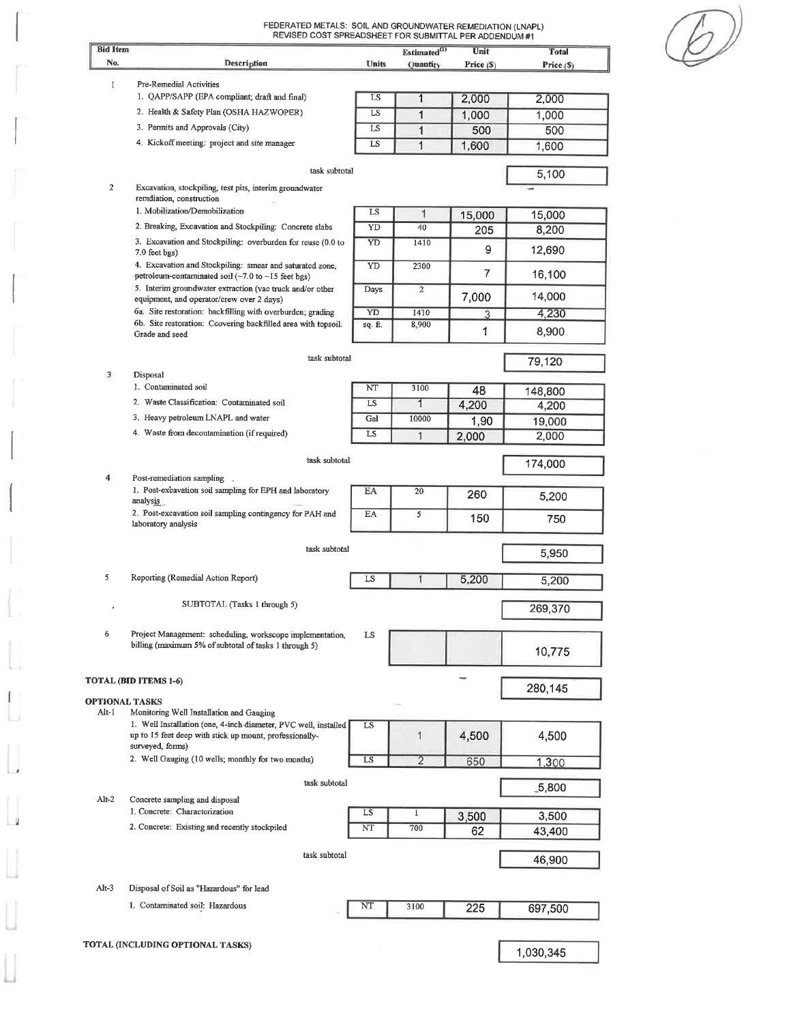| <b>Bid Item</b>         |                                                                                                                                                |              | Estimated <sup>(1)</sup> | SUBMITTAL PER ADDENDUM #1<br>Unit | <b>Total</b> |
|-------------------------|------------------------------------------------------------------------------------------------------------------------------------------------|--------------|--------------------------|-----------------------------------|--------------|
| No.                     | Description                                                                                                                                    | <b>Units</b> | Quantity                 | Price $(S)$                       | Price (\$)   |
| $\mathbf{I}$            | Pre-Remedial Activities                                                                                                                        |              |                          |                                   |              |
|                         | 1. QAPP/SAPP (EPA compliant; draft and final)                                                                                                  | LS           | 1                        | 2,000                             | 2,000        |
|                         | 2. Health & Safety Plan (OSHA HAZWOPER)                                                                                                        | LS           | 1                        | 1,000                             | 1,000        |
|                         | 3. Permits and Approvals (City)                                                                                                                | LS           | 1                        | 500                               | 500          |
|                         | 4. Kickoff meeting: project and site manager                                                                                                   | LS           | $\mathbf{1}$             | 1,600                             | 1,600        |
|                         | task subtotal                                                                                                                                  |              |                          |                                   | 5,100        |
| $\overline{2}$          | Excavation, stockpiling, test pits, interim groundwater<br>remdiation, construction                                                            |              |                          |                                   |              |
|                         | 1. Mobilization/Demobilization                                                                                                                 | LS           | 1                        | 15,000                            | 15,000       |
|                         | 2. Breaking, Excavation and Stockpiling: Concrete slabs                                                                                        | YD           | 40                       | 205                               | 8,200        |
|                         | 3. Excavation and Stockpiling: overburden for reuse (0.0 to<br>7.0 feet bgs)                                                                   | YD           | 1410                     | 9                                 | 12,690       |
|                         | 4. Excavation and Stockpiling: smear and saturated zone,                                                                                       | YD           | 2300                     | 7                                 |              |
|                         | petroleum-contaminated soil ( $\sim$ 7.0 to $\sim$ 15 feet bgs)<br>5. Interim groundwater extraction (vac truck and/or other                   | Days         | $\mathbf{2}$             |                                   | 16,100       |
|                         | equipment, and operator/crew over 2 days)                                                                                                      |              |                          | 7,000                             | 14,000       |
|                         | 6a. Site restoration: backfilling with overburden; grading<br>6b. Site restoration: Ccovering backfilled area with topsoil.                    | YD           | 1410                     | 3                                 | 4,230        |
|                         | Grade and seed                                                                                                                                 | sq. ft.      | 8,900                    | 1                                 | 8,900        |
|                         | task subtotal                                                                                                                                  |              |                          |                                   | 79,120       |
| 3                       | Disposal                                                                                                                                       |              |                          |                                   |              |
|                         | 1. Contaminated soil                                                                                                                           | NT           | 3100                     | 48                                | 148,800      |
|                         | 2. Waste Classification: Contaminated soil                                                                                                     | LS           | $\overline{\mathbf{1}}$  | 4,200                             | 4,200        |
|                         | 3. Heavy petroleum LNAPL and water                                                                                                             | Gal          | 10000                    | 1,90                              | 19,000       |
|                         | 4. Waste from decontamination (if required)                                                                                                    | LS           | 1                        | 2,000                             | 2,000        |
| $\overline{\mathbf{4}}$ | task subtotal                                                                                                                                  |              |                          |                                   | 174,000      |
|                         | Post-remediation sampling _<br>1. Post-excavation soil sampling for EPH and laboratory<br>analysis                                             | ΕA           | 20                       | 260                               | 5,200        |
|                         | 2. Post-excavation soil sampling contingency for PAH and<br>laboratory analysis                                                                | EA           | 5                        | 150                               | 750          |
|                         | task subtotal                                                                                                                                  |              |                          |                                   | 5,950        |
| 5                       | Reporting (Remedial Action Report)                                                                                                             | LS           | 1                        | 5,200                             | 5,200        |
| ٠                       | SUBTOTAL (Tasks 1 through 5)                                                                                                                   |              |                          |                                   | 269,370      |
|                         |                                                                                                                                                |              |                          |                                   |              |
| 6                       | Project Management: scheduling, workscope implementation,<br>billing (maximum 5% of subtotal of tasks 1 through 5)                             | LS           |                          |                                   | 10,775       |
|                         | TOTAL (BID ITEMS 1-6)                                                                                                                          |              |                          |                                   |              |
| <b>OPTIONAL TASKS</b>   |                                                                                                                                                |              |                          |                                   | 280,145      |
| Alt-1                   | Monitoring Well Installation and Gauging                                                                                                       |              |                          |                                   |              |
|                         | 1. Well Installation (one, 4-inch diameter, PVC well, installed<br>up to 15 feet deep with stick up mount, professionally-<br>surveyed, forms) | LS           |                          | 4,500                             | 4,500        |
|                         | 2. Well Gauging (10 wells; monthly for two months)                                                                                             | LS           | 2                        | 650                               | 1.300        |
|                         | task subtotal                                                                                                                                  |              |                          |                                   | $-5,800$     |
| $Alt-2$                 | Concrete sampling and disposal                                                                                                                 |              |                          |                                   |              |
|                         | 1. Concrete: Characterization                                                                                                                  | LS           | I                        | 3,500                             | 3,500        |
|                         | 2. Concrete: Existing and recently stockpiled                                                                                                  | NT           | 700                      | 62                                | 43,400       |
|                         | task subtotal                                                                                                                                  |              |                          |                                   | 46,900       |
| Alt-3                   | Disposal of Soil as "Hazardous" for lead                                                                                                       |              |                          |                                   |              |
|                         | 1. Contaminated soil: Hazardous                                                                                                                | NT           | 3100                     | 225                               | 697,500      |
|                         | TOTAL (INCLUDING OPTIONAL TASKS)                                                                                                               |              |                          |                                   |              |
|                         |                                                                                                                                                |              |                          |                                   | 1,030,345    |

ſ

 $\Box$ 

Ł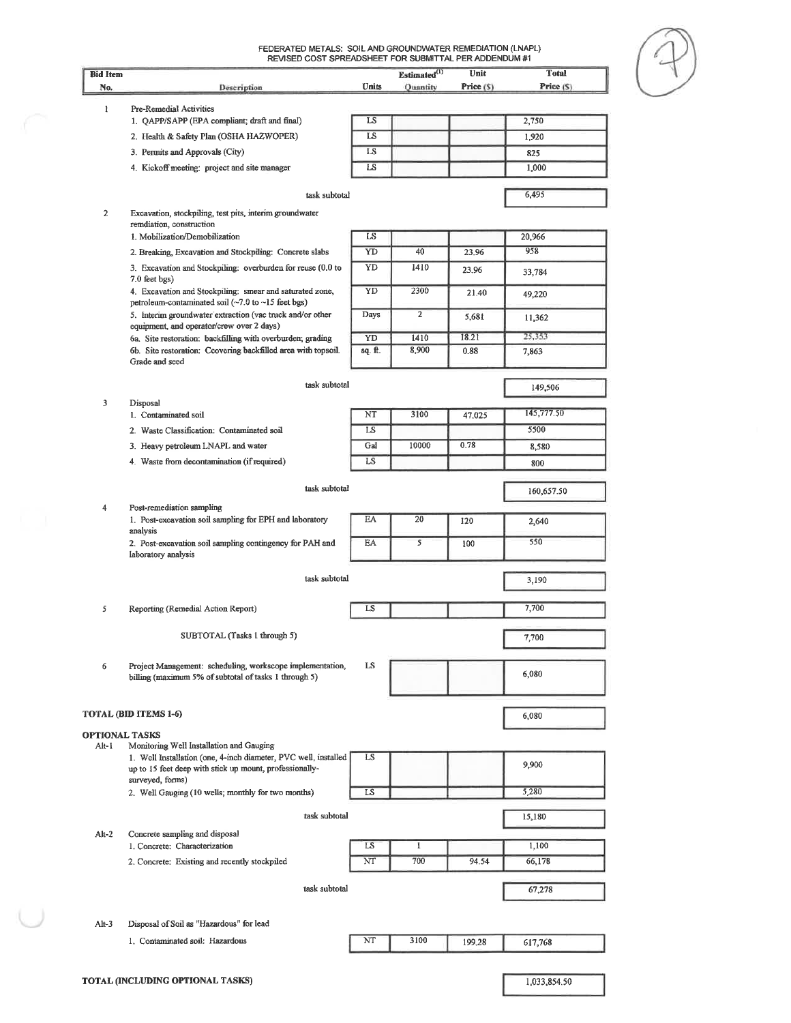| <b>Bid Item</b> |                                                                                                                            |         | Estimated <sup>(1)</sup> | REVISED COST SPREADSHEET FOR SUBMITTAL PER ADDENDUM #1<br>Unit | <b>Total</b> |
|-----------------|----------------------------------------------------------------------------------------------------------------------------|---------|--------------------------|----------------------------------------------------------------|--------------|
| No.             | Description                                                                                                                | Units   | Ouantity                 | Price (S)                                                      | Price (S)    |
|                 |                                                                                                                            |         |                          |                                                                |              |
| ı               | Pre-Remedial Activities                                                                                                    |         |                          |                                                                |              |
|                 | 1. QAPP/SAPP (EPA compliant; draft and final)                                                                              | LS      |                          |                                                                | 2,750        |
|                 | 2. Health & Safety Plan (OSHA HAZWOPER)                                                                                    | LS      |                          |                                                                | 1,920        |
|                 | 3. Permits and Approvals (City)                                                                                            | LS      |                          |                                                                | 825          |
|                 | 4. Kickoff meeting: project and site manager                                                                               | LS      |                          |                                                                | 1,000        |
|                 |                                                                                                                            |         |                          |                                                                |              |
|                 | task subtotal                                                                                                              |         |                          |                                                                | 6,495        |
| 2               | Excavation, stockpiling, test pits, interim groundwater                                                                    |         |                          |                                                                |              |
|                 | remdiation, construction<br>1. Mobilization/Demobilization                                                                 | LS      |                          |                                                                | 20,966       |
|                 | 2. Breaking, Excavation and Stockpiling: Concrete slabs                                                                    | YD      | 40                       | 23.96                                                          | 958          |
|                 |                                                                                                                            |         |                          |                                                                |              |
|                 | 3. Excavation and Stockpiling: overburden for reuse (0.0 to<br>7.0 feet bgs)                                               | YD      | 1410                     | 23.96                                                          | 33,784       |
|                 | 4. Excavation and Stockpiling: smear and saturated zone,                                                                   | YD      | 2300                     | 21.40                                                          | 49,220       |
|                 | petroleum-contaminated soil (~7.0 to ~15 feet bgs)                                                                         |         |                          |                                                                |              |
|                 | 5. Interim groundwater extraction (vac truck and/or other                                                                  | Days    | $\overline{2}$           | 5,681                                                          | 11,362       |
|                 | equipment, and operator/crew over 2 days)<br>6a. Site restoration: backfilling with overburden; grading                    | YD      | 1410                     | 18.21                                                          | 25,353       |
|                 | 6b. Site restoration: Ccovering backfilled area with topsoil.                                                              | sq. ft. | 8,900                    | 0.88                                                           | 7,863        |
|                 | Grade and seed                                                                                                             |         |                          |                                                                |              |
|                 |                                                                                                                            |         |                          |                                                                |              |
|                 | task subtotal                                                                                                              |         |                          |                                                                | 149,506      |
| 3               | Disposal                                                                                                                   |         |                          |                                                                |              |
|                 | 1. Contaminated soil                                                                                                       | NT      | 3100                     | 47.025                                                         | 145,777.50   |
|                 | 2. Waste Classification: Contaminated soil                                                                                 | LS      |                          |                                                                | 5500         |
|                 | 3. Heavy petroleum LNAPL and water                                                                                         | Gal     | 10000                    | 0.78                                                           | 8,580        |
|                 | 4. Waste from decontamination (if required)                                                                                | LS      |                          |                                                                | 800          |
|                 |                                                                                                                            |         |                          |                                                                |              |
|                 | task subtotal                                                                                                              |         |                          |                                                                | 160,657.50   |
| 4               | Post-remediation sampling                                                                                                  |         |                          |                                                                |              |
|                 | 1. Post-excavation soil sampling for EPH and laboratory                                                                    | EA      | 20                       | 120                                                            | 2,640        |
|                 | analysis                                                                                                                   |         |                          |                                                                |              |
|                 | 2. Post-excavation soil sampling contingency for PAH and                                                                   | EA      | 5                        | 100                                                            | 550          |
|                 | laboratory analysis                                                                                                        |         |                          |                                                                |              |
|                 | task subtotal                                                                                                              |         |                          |                                                                | 3,190        |
|                 |                                                                                                                            |         |                          |                                                                |              |
| 5               | Reporting (Remedial Action Report)                                                                                         | LS      |                          |                                                                | 7,700        |
|                 |                                                                                                                            |         |                          |                                                                |              |
|                 | SUBTOTAL (Tasks 1 through 5)                                                                                               |         |                          |                                                                | 7,700        |
|                 |                                                                                                                            |         |                          |                                                                |              |
| 6               | Project Management: scheduling, workscope implementation,                                                                  | LS      |                          |                                                                |              |
|                 | billing (maximum 5% of subtotal of tasks 1 through 5)                                                                      |         |                          |                                                                | 6,080        |
|                 |                                                                                                                            |         |                          |                                                                |              |
|                 |                                                                                                                            |         |                          |                                                                |              |
|                 | TOTAL (BID ITEMS 1-6)                                                                                                      |         |                          |                                                                | 6,080        |
|                 | <b>OPTIONAL TASKS</b>                                                                                                      |         |                          |                                                                |              |
| Alt-1           | Monitoring Well Installation and Gauging                                                                                   |         |                          |                                                                |              |
|                 | 1. Well Installation (one, 4-inch diameter, PVC well, installed<br>up to 15 feet deep with stick up mount, professionally- | LS      |                          |                                                                | 9,900        |
|                 | surveyed, forms)                                                                                                           |         |                          |                                                                |              |
|                 |                                                                                                                            |         |                          |                                                                | 5,280        |
|                 | 2. Well Gauging (10 wells; monthly for two months)                                                                         | LS      |                          |                                                                |              |
|                 |                                                                                                                            |         |                          |                                                                |              |
|                 | task subtotal                                                                                                              |         |                          |                                                                | 15,180       |
| $Alt-2$         | Concrete sampling and disposal                                                                                             |         |                          |                                                                |              |
|                 | 1. Concrete: Characterization                                                                                              | LS      | $\mathbf{1}$             |                                                                | 1,100        |
|                 | 2. Concrete: Existing and recently stockpiled                                                                              | NT      | 700                      | 94.54                                                          | 66,178       |
|                 |                                                                                                                            |         |                          |                                                                |              |
|                 | task subtotal                                                                                                              |         |                          |                                                                | 67,278       |
|                 |                                                                                                                            |         |                          |                                                                |              |
|                 |                                                                                                                            |         |                          |                                                                |              |
| $Alt-3$         | Disposal of Soil as "Hazardous" for lead                                                                                   |         |                          |                                                                |              |
|                 | 1. Contaminated soil: Hazardous                                                                                            | NT      | 3100                     | 199.28                                                         | 617,768      |

1,033,854.50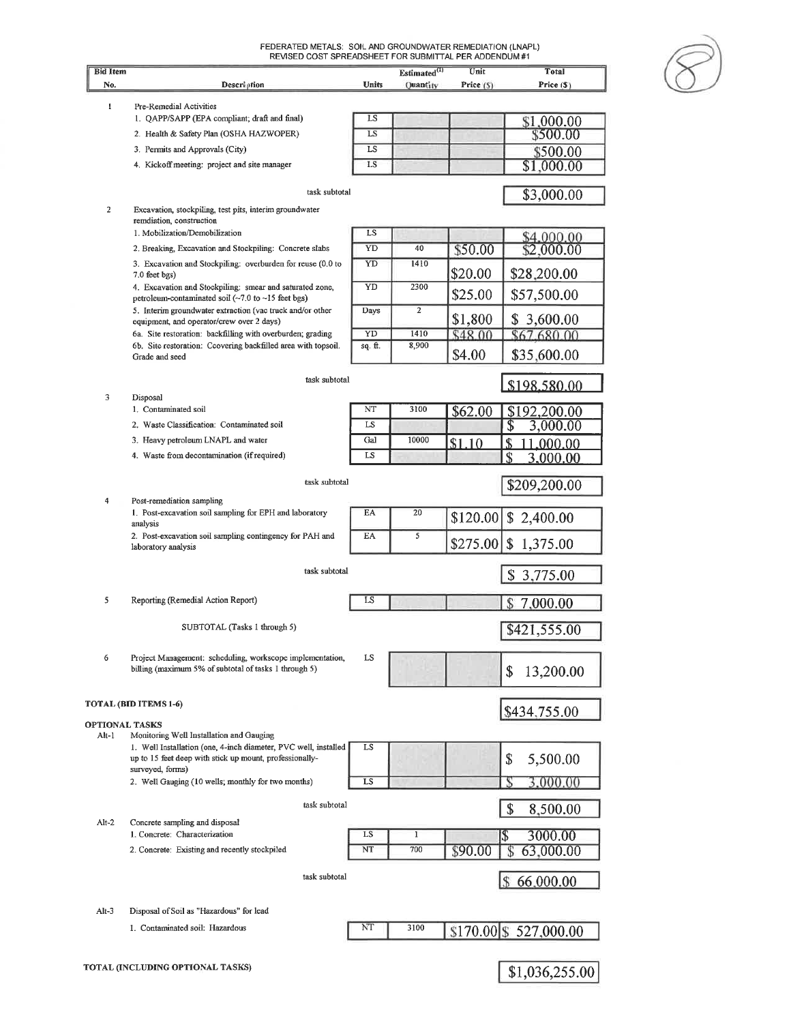| <b>Bid Item</b>         | REVISED COST SPREADSHEET FOR SUBMITTAL PER ADDENDUM #1                                                                                            |         | Estimated <sup>(1)</sup> | Unit      | <b>Total</b>                       |
|-------------------------|---------------------------------------------------------------------------------------------------------------------------------------------------|---------|--------------------------|-----------|------------------------------------|
| No.                     | Description                                                                                                                                       | Units   | Quantity                 | Price (S) | Price (\$)                         |
| $\mathbf{I}$            | Pre-Remedial Activities                                                                                                                           |         |                          |           |                                    |
|                         | 1. QAPP/SAPP (EPA compliant; draft and final)                                                                                                     | LS      |                          |           | \$1,000.00                         |
|                         | 2. Health & Safety Plan (OSHA HAZWOPER)                                                                                                           | LS      |                          |           | \$500.00                           |
|                         | 3. Permits and Approvals (City)                                                                                                                   | LS      |                          |           | \$500.00                           |
|                         | 4. Kickoff meeting: project and site manager                                                                                                      | LS      |                          |           | \$1,000.00                         |
| $\overline{\mathbf{2}}$ | task subtotal<br>Excavation, stockpiling, test pits, interim groundwater                                                                          |         |                          |           | \$3,000.00                         |
|                         | remdiation, construction                                                                                                                          |         |                          |           |                                    |
|                         | 1. Mobilization/Demobilization                                                                                                                    | LS      |                          |           | \$4,000.00                         |
|                         | 2. Breaking, Excavation and Stockpiling: Concrete slabs                                                                                           | YD      | 40                       | \$50.00   | \$2,000.00                         |
|                         | 3. Excavation and Stockpiling: overburden for reuse (0.0 to<br>7.0 feet bgs)                                                                      | YD      | 1410                     | \$20.00   | \$28,200.00                        |
|                         | 4. Excavation and Stockpiling: smear and saturated zone,<br>petroleum-contaminated soil $(\sim 7.0 \text{ to } \sim 15 \text{ feet} \text{ bgs})$ | YD      | 2300                     | \$25.00   | \$57,500.00                        |
|                         | 5. Interim groundwater extraction (vac truck and/or other<br>equipment, and operator/crew over 2 days)                                            | Days    | $\overline{2}$           | \$1,800   | \$3,600.00                         |
|                         | 6a. Site restoration: backfilling with overburden; grading                                                                                        | YD      | 1410                     | \$48.00   | \$67,680.00                        |
|                         | 6b. Site restoration: Ccovering backfilled area with topsoil.<br>Grade and seed                                                                   | sq. ft. | 8,900                    | \$4.00    | \$35,600.00                        |
| 3                       | task subtotal                                                                                                                                     |         |                          |           | \$198,580,00                       |
|                         | Disposal<br>1. Contaminated soil                                                                                                                  | NT      | 3100                     | \$62.00   | \$192,200.00                       |
|                         | 2. Waste Classification: Contaminated soil                                                                                                        | LS      |                          |           | 3,000.00                           |
|                         | 3. Heavy petroleum LNAPL and water                                                                                                                | Gal     | 10000                    | \$1.10    | .000.00                            |
|                         | 4. Waste from decontamination (if required)                                                                                                       | LS      |                          |           | \$<br>3,000.00                     |
|                         |                                                                                                                                                   |         |                          |           |                                    |
| 4                       | task subtotal<br>Post-remediation sampling                                                                                                        |         |                          |           | \$209,200.00                       |
|                         | 1. Post-excavation soil sampling for EPH and laboratory<br>analysis                                                                               | EA      | 20                       | \$120.00] | \$2,400.00                         |
|                         | 2. Post-excavation soil sampling contingency for PAH and<br>laboratory analysis                                                                   | EA      | 5                        | \$275.00  | \$<br>1,375.00                     |
|                         | task subtotal                                                                                                                                     |         |                          |           | 3,775.00<br>\$                     |
| 5                       | Reporting (Remedial Action Report)                                                                                                                | LS      |                          |           | 7.000.00                           |
|                         |                                                                                                                                                   |         |                          |           |                                    |
|                         | SUBTOTAL (Tasks 1 through 5)                                                                                                                      |         |                          |           | \$421,555.00                       |
| 6                       | Project Management: scheduling, workscope implementation,<br>billing (maximum 5% of subtotal of tasks 1 through 5)                                | LS      |                          |           | 13,200.00<br>\$                    |
|                         | TOTAL (BID ITEMS 1-6)                                                                                                                             |         |                          |           | \$434,755.00                       |
| <b>OPTIONAL TASKS</b>   |                                                                                                                                                   |         |                          |           |                                    |
| Alt-1                   | Monitoring Well Installation and Gauging                                                                                                          |         |                          |           |                                    |
|                         | 1. Well Installation (one, 4-inch diameter, PVC well, installed<br>up to 15 feet deep with stick up mount, professionally-                        | LS      |                          |           | \$<br>5,500.00                     |
|                         | surveyed, forms)<br>2. Well Gauging (10 wells, monthly for two months)                                                                            | LS      |                          |           | .000.00                            |
|                         | task subtotal                                                                                                                                     |         |                          |           | \$<br>8,500.00                     |
| $Alt-2$                 | Concrete sampling and disposal                                                                                                                    |         |                          |           |                                    |
|                         | 1. Concrete: Characterization                                                                                                                     | LS      | 1                        |           | 3000.00<br>$\overline{\mathbb{S}}$ |
|                         | 2. Concrete: Existing and recently stockpiled                                                                                                     | NT      | 700                      | \$90.00   | 63,000.00<br>S                     |
|                         | task subtotal                                                                                                                                     |         |                          |           | 66,000.00                          |
| $Alt-3$                 | Disposal of Soil as "Hazardous" for lead                                                                                                          |         |                          |           |                                    |
|                         | 1. Contaminated soil: Hazardous                                                                                                                   | NT      | 3100                     |           | \$170.00 \$527,000.00              |
|                         | TOTAL (INCLUDING OPTIONAL TASKS)                                                                                                                  |         |                          |           |                                    |
|                         |                                                                                                                                                   |         |                          |           | \$1,036,255.00                     |

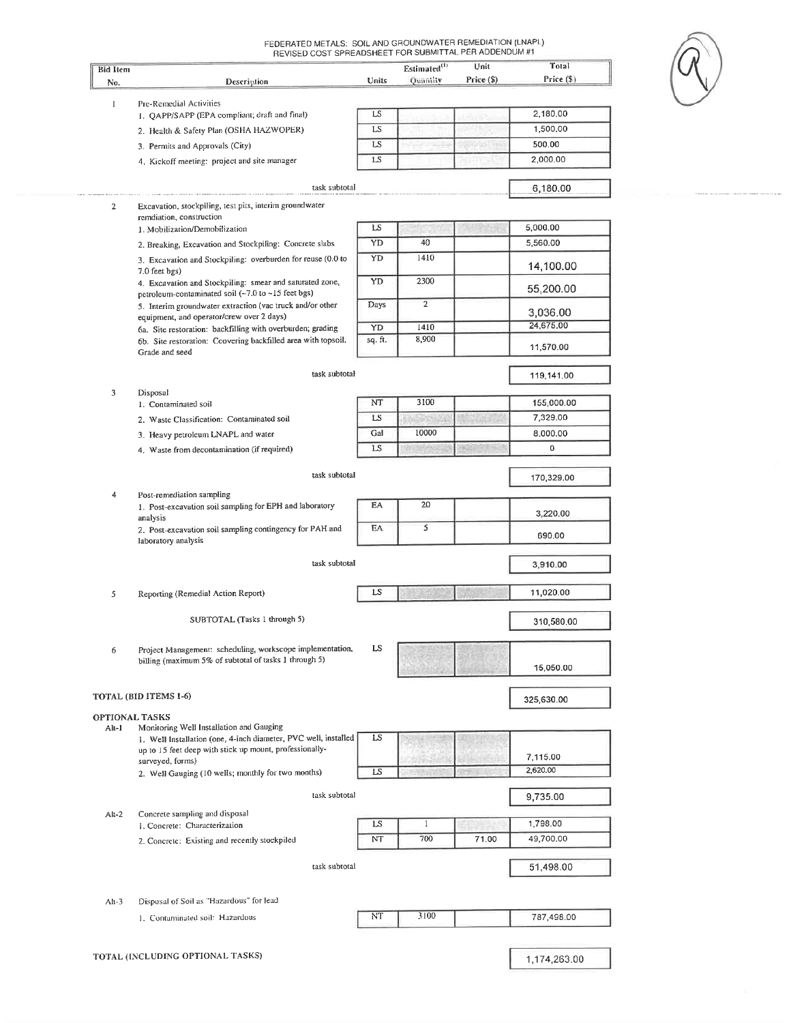| <b>Bid Item</b>                  | Description                                                                                                                                   | Units    | $Estimated$ <sup>(1)</sup><br>Quantity | Unit<br>Price (\$) | Total<br>Price (\$) |
|----------------------------------|-----------------------------------------------------------------------------------------------------------------------------------------------|----------|----------------------------------------|--------------------|---------------------|
| No.                              |                                                                                                                                               |          |                                        |                    |                     |
| $\mathbf{I}$                     | Pre-Remedial Activities<br>1. QAPP/SAPP (EPA compliant; draft and final)                                                                      | LS       |                                        |                    | 2,180.00            |
|                                  | 2. Health & Safety Plan (OSHA HAZWOPER)                                                                                                       | LS       |                                        |                    | 1,500.00            |
|                                  | 3. Permits and Approvals (City)                                                                                                               | LS       |                                        |                    | 500.00              |
|                                  | 4. Kickoff meeting: project and site manager                                                                                                  | LS       |                                        |                    | 2,000.00            |
|                                  |                                                                                                                                               |          |                                        |                    |                     |
|                                  | task subtotal                                                                                                                                 |          |                                        |                    | 6,180.00            |
| 2                                | Excavation, stockpiling, test pits, interim groundwater<br>remdiation, construction                                                           |          |                                        |                    |                     |
|                                  | 1. Mobilization/Demobilization                                                                                                                | LS       |                                        |                    | 5,000.00            |
|                                  | 2. Breaking, Excavation and Stockpiling: Concrete slabs                                                                                       | YD       | 40                                     |                    | 5,560.00            |
|                                  | 3. Excavation and Stockpiling: overburden for reuse (0.0 to<br>7.0 feet bgs)                                                                  | YD       | 1410                                   |                    | 14,100.00           |
|                                  | 4. Excavation and Stockpiling: smear and saturated zone,<br>petroleum-contaminated soil (~7.0 to ~15 feet bgs)                                | YD       | 2300                                   |                    | 55,200.00           |
|                                  | 5. Interim groundwater extraction (vac truck and/or other<br>equipment, and operator/crew over 2 days)                                        | Days     | $\overline{2}$                         |                    | 3,036.00            |
|                                  | 6a. Site restoration: backfilling with overburden; grading<br>6b. Site restoration: Ccovering backfilled area with topsoil.<br>Grade and seed |          | 1410                                   |                    | 24,675.00           |
|                                  |                                                                                                                                               |          | 8,900                                  |                    | 11,570.00           |
|                                  | task subtotal                                                                                                                                 |          |                                        |                    | 119,141.00          |
| 3                                | Disposal                                                                                                                                      |          |                                        |                    |                     |
|                                  | 1. Contaminated soil                                                                                                                          | NT       | 3100                                   |                    | 155,000.00          |
|                                  | 2. Waste Classification: Contaminated soil                                                                                                    | LS       |                                        |                    | 7,329.00            |
|                                  | 3. Heavy petroleum LNAPL and water                                                                                                            | Gal      | 10000                                  |                    | 8,000.00            |
|                                  | 4. Waste from decontamination (if required)                                                                                                   | LS       |                                        |                    | 0                   |
|                                  | task subtotal                                                                                                                                 |          |                                        |                    | 170,329.00          |
| 4                                | Post-remediation sampling<br>1. Post-excavation soil sampling for EPH and laboratory                                                          | EA       | 20                                     |                    |                     |
|                                  | analysis                                                                                                                                      |          |                                        |                    | 3,220.00            |
|                                  | 2. Post-excavation soil sampling contingency for PAH and<br>laboratory analysis                                                               | EA       | 5                                      |                    | 690.00              |
|                                  | task subtotal                                                                                                                                 |          |                                        |                    | 3,910.00            |
| 5                                | Reporting (Remedial Action Report)                                                                                                            | LS       |                                        |                    | 11,020.00           |
|                                  | SUBTOTAL (Tasks 1 through 5)                                                                                                                  |          |                                        |                    |                     |
|                                  |                                                                                                                                               |          |                                        |                    | 310,580.00          |
| 6                                | Project Management: scheduling, workscope implementation,<br>billing (maximum 5% of subtotal of tasks 1 through 5)                            | LS       |                                        |                    | 15,050.00           |
|                                  | TOTAL (BID ITEMS 1-6)                                                                                                                         |          |                                        |                    | 325,630.00          |
|                                  | <b>OPTIONAL TASKS</b>                                                                                                                         |          |                                        |                    |                     |
| Alt-1                            | Monitoring Well Installation and Gauging                                                                                                      |          |                                        |                    |                     |
|                                  | 1. Well Installation (one, 4-inch diameter, PVC well, installed<br>up to 15 feet deep with stick up mount, professionally-                    | LS       |                                        |                    |                     |
|                                  | surveyed, forms)                                                                                                                              |          |                                        |                    | 7,115.00            |
|                                  | 2. Well Gauging (10 wells; monthly for two months)                                                                                            | LS       |                                        |                    | 2,620.00            |
|                                  | task subtotal                                                                                                                                 |          |                                        |                    | 9,735.00            |
| $Alt-2$                          | Concrete sampling and disposal                                                                                                                |          | $\mathbf{1}$                           |                    | 1,798.00            |
|                                  | 1. Concrete: Characterization                                                                                                                 | LS<br>NT | 700                                    | 71.00              | 49,700.00           |
|                                  | 2. Concrete: Existing and recently stockpiled                                                                                                 |          |                                        |                    |                     |
|                                  | task subtotal                                                                                                                                 |          |                                        |                    | 51,498.00           |
|                                  |                                                                                                                                               |          |                                        |                    |                     |
| $Alt-3$                          | Disposal of Soil as "Hazardous" for lead                                                                                                      |          |                                        |                    |                     |
|                                  | 1. Contaminated soil: Hazardous                                                                                                               | NT       | 3100                                   |                    | 787,498.00          |
|                                  |                                                                                                                                               |          |                                        |                    |                     |
| TOTAL (INCLUDING OPTIONAL TASKS) |                                                                                                                                               |          |                                        |                    | 1,174,263.00        |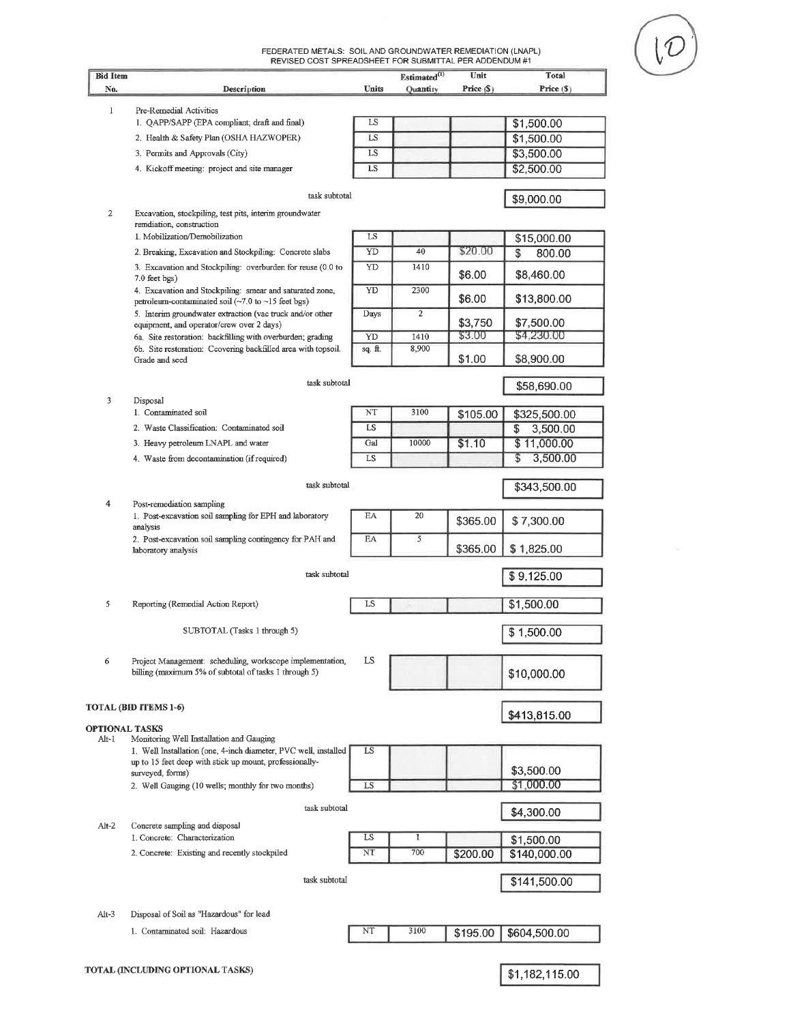FEDERATED METALS: SOIL AND GROUNDWATER REMEDIATION (LNAPL)<br>REVISED COST SPREADSHEET FOR SUBMITTAL PER ADDENDUM #1

| <b>Bid Item</b> |                                                                                                                                                        |          | Estimated <sup>(1)</sup> | Unit       | <b>Total</b>     |
|-----------------|--------------------------------------------------------------------------------------------------------------------------------------------------------|----------|--------------------------|------------|------------------|
| No.             | Description                                                                                                                                            | Units    | Quantity                 | Price (\$) | Price (\$)       |
| 1               | Pre-Remedial Activities                                                                                                                                |          |                          |            |                  |
|                 | 1. QAPP/SAPP (EPA compliant; draft and final)                                                                                                          | LS       |                          |            | \$1,500.00       |
|                 | 2. Health & Safety Plan (OSHA HAZWOPER)                                                                                                                | LS       |                          |            | \$1,500.00       |
|                 | 3. Permits and Approvals (City)                                                                                                                        | LS       |                          |            | \$3,500.00       |
|                 | 4. Kickoff meeting: project and site manager                                                                                                           | LS       |                          |            | \$2,500.00       |
| 2               | task subtotal<br>Excavation, stockpiling, test pits, interim groundwater                                                                               |          |                          |            | \$9,000.00       |
|                 | remdiation, construction                                                                                                                               |          |                          |            |                  |
|                 | 1. Mobilization/Demobilization                                                                                                                         | LS<br>YD | 40                       | \$20.00    | \$15,000.00      |
|                 | 2. Breaking, Excavation and Stockpiling: Concrete slabs<br>3. Excavation and Stockpiling: overburden for reuse (0.0 to                                 | YD       | 1410                     |            | \$<br>800.00     |
|                 | $7.0$ feet $bgs$ )<br>4. Excavation and Stockpiling: smear and saturated zone,                                                                         | YD       | 2300                     | \$6.00     | \$8,460.00       |
|                 | petroleum-contaminated soil $(\sim 7.0 \text{ to } \sim 15 \text{ feet} \text{ bgs})$                                                                  |          |                          | \$6.00     | \$13,800.00      |
|                 | 5. Interim groundwater extraction (vac truck and/or other                                                                                              | Days     | $\overline{2}$           | \$3,750    | \$7,500.00       |
|                 | equipment, and operator/crew over 2 days)<br>6a. Site restoration: backfilling with overburden; grading                                                | YD       | 1410                     | \$3.00     | \$4,230.00       |
|                 | 6b. Site restoration: Ccovering backfilled area with topsoil.                                                                                          | sq. ft.  | 8,900                    |            |                  |
|                 | Grade and seed                                                                                                                                         |          |                          | \$1.00     | \$8,900.00       |
|                 | task subtotal                                                                                                                                          |          |                          |            | \$58,690.00      |
| 3               | Disposal                                                                                                                                               |          |                          |            |                  |
|                 | 1. Contaminated soil                                                                                                                                   | NT       | 3100                     | \$105.00   | \$325,500.00     |
|                 | 2. Waste Classification: Contaminated soil                                                                                                             | LS       |                          |            | 3,500.00<br>S    |
|                 | 3. Heavy petroleum LNAPL and water                                                                                                                     | Gal      | 10000                    | \$1.10     | \$11,000.00<br>S |
|                 | 4. Waste from decontamination (if required)                                                                                                            | LS       |                          |            | 3,500.00         |
| 4               | task subtotal<br>Post-remediation sampling                                                                                                             |          |                          |            | \$343,500.00     |
|                 | 1. Post-excavation soil sampling for EPH and laboratory<br>analysis<br>2. Post-excavation soil sampling contingency for PAH and<br>laboratory analysis | EA       | 20                       | \$365.00   | \$7,300.00       |
|                 |                                                                                                                                                        | EA       | 5                        | \$365.00   | \$1,825.00       |
|                 | task subtotal                                                                                                                                          |          |                          |            | \$9,125.00       |
|                 |                                                                                                                                                        |          |                          |            |                  |
| 5               | Reporting (Remedial Action Report)                                                                                                                     | LS       |                          |            | \$1,500.00       |
|                 | SUBTOTAL (Tasks 1 through 5)                                                                                                                           |          |                          |            | \$1,500.00       |
| 6               | Project Management: scheduling, workscope implementation,<br>billing (maximum 5% of subtotal of tasks 1 through 5)                                     | LS       |                          |            | \$10,000.00      |
|                 | <b>TOTAL (BID ITEMS 1-6)</b>                                                                                                                           |          |                          |            |                  |
|                 | <b>OPTIONAL TASKS</b>                                                                                                                                  |          |                          |            | \$413,815.00     |
| Alt-1           | Monitoring Well Installation and Gauging                                                                                                               |          |                          |            |                  |
|                 | 1. Well Installation (one, 4-inch diameter, PVC well, installed<br>up to 15 feet deep with stick up mount, professionally-                             | LS       |                          |            | \$3,500.00       |
|                 | surveyed, forms)<br>2. Well Gauging (10 wells; monthly for two months)                                                                                 | LS       |                          |            | \$1,000.00       |
|                 |                                                                                                                                                        |          |                          |            |                  |
| $Alt-2$         | task subtotal<br>Concrete sampling and disposal                                                                                                        |          |                          |            | \$4,300.00       |
|                 | 1. Concrete: Characterization                                                                                                                          | LS       | 1                        |            | \$1,500.00       |
|                 | 2. Concrete: Existing and recently stockpiled                                                                                                          | NT       | 700                      | \$200.00   | \$140,000.00     |
|                 |                                                                                                                                                        |          |                          |            |                  |
|                 | task subtotal                                                                                                                                          |          |                          |            | \$141,500.00     |
| $Alt-3$         | Disposal of Soil as "Hazardous" for lead                                                                                                               |          |                          |            |                  |
|                 | 1. Contaminated soil: Hazardous                                                                                                                        | NT       | 3100                     | \$195.00   | \$604,500.00     |
|                 |                                                                                                                                                        |          |                          |            |                  |
|                 | TOTAL (INCLUDING OPTIONAL TASKS)                                                                                                                       |          |                          |            | \$1,182,115.00   |
|                 |                                                                                                                                                        |          |                          |            |                  |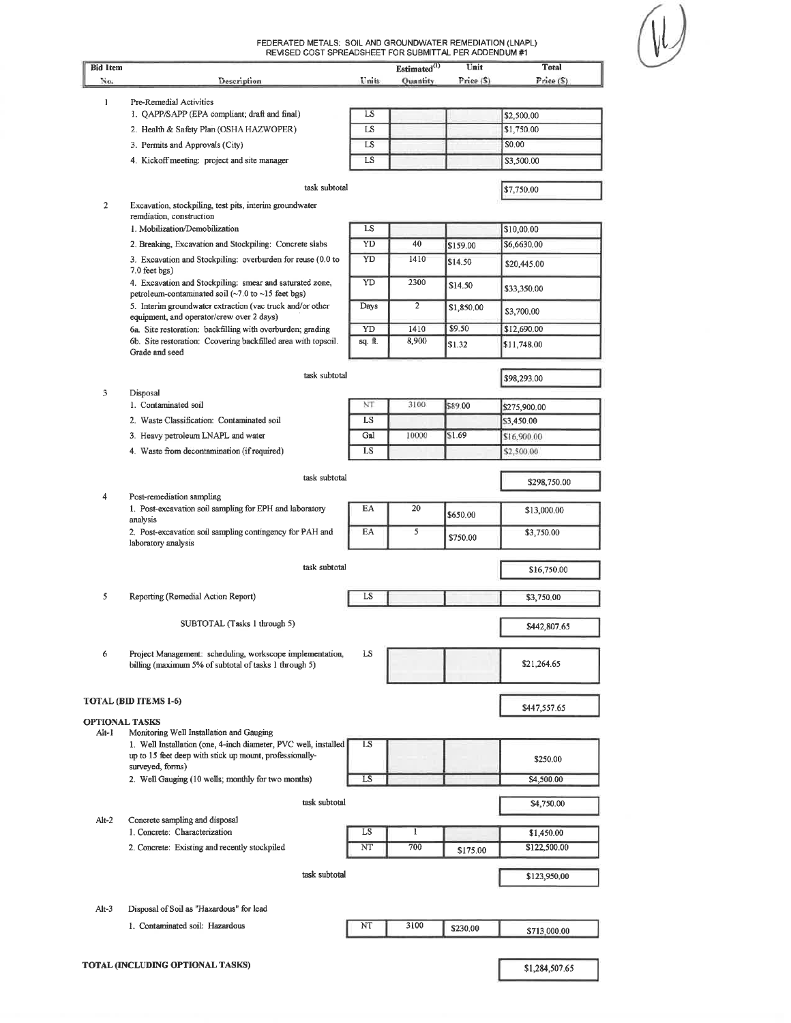| <b>Bid Item</b> | REVISED COST SPREADSHEET FOR SUBMITTAL PER ADDENDUM #1                                                                     |              | Estimated <sup>(1)</sup> | Unit       | <b>Total</b>               |
|-----------------|----------------------------------------------------------------------------------------------------------------------------|--------------|--------------------------|------------|----------------------------|
| No.             | Description                                                                                                                | <b>Units</b> | <b>Quantity</b>          | Price (S)  | Price (5)                  |
| $\mathbf{I}$    | Pre-Remedial Activities                                                                                                    |              |                          |            |                            |
|                 | 1. QAPP/SAPP (EPA compliant; draft and final)                                                                              | LS           |                          |            | \$2,500.00                 |
|                 | 2. Health & Safety Plan (OSHA HAZWOPER)                                                                                    | LS           |                          |            | \$1,750.00                 |
|                 | 3. Permits and Approvals (City)                                                                                            | LS           |                          |            | \$0.00                     |
|                 | 4. Kickoff meeting: project and site manager                                                                               | LS           |                          |            | \$3,500.00                 |
|                 | task subtotal                                                                                                              |              |                          |            | \$7,750.00                 |
| $\overline{2}$  | Excavation, stockpiling, test pits, interim groundwater<br>remdiation, construction                                        |              |                          |            |                            |
|                 | 1. Mobilization/Demobilization                                                                                             | LS           |                          |            | \$10,00.00                 |
|                 | 2. Breaking, Excavation and Stockpiling: Concrete slabs                                                                    | YD           | 40                       | \$159.00   | \$6,6630.00                |
|                 | 3. Excavation and Stockpiling: overburden for reuse (0.0 to<br>7.0 feet bgs)                                               | YD           | 1410                     | \$14.50    | \$20,445.00                |
|                 | 4. Excavation and Stockpiling: smear and saturated zone,<br>petroleum-contaminated soil (~7.0 to ~15 feet bgs)             | YD           | 2300                     | \$14.50    | \$33,350.00                |
|                 | 5. Interim groundwater extraction (vac truck and/or other<br>equipment, and operator/crew over 2 days)                     | Days         | $\overline{c}$           | \$1,850.00 | \$3,700.00                 |
|                 | 6a. Site restoration: backfilling with overburden; grading                                                                 | YD           | 1410                     | \$9.50     | \$12,690.00                |
|                 | 6b. Site restoration: Ccovering backfilled area with topsoil.<br>Grade and seed                                            | sq. ft.      | 8,900                    | \$1.32     | \$11,748.00                |
|                 | task subtotal                                                                                                              |              |                          |            | \$98,293.00                |
| 3               | Disposal<br>1. Contaminated soil                                                                                           | NT           | 3100                     | \$89.00    |                            |
|                 | 2. Waste Classification: Contaminated soil                                                                                 | LS           |                          |            | \$275,900.00<br>\$3,450.00 |
|                 | 3. Heavy petroleum LNAPL and water                                                                                         | Gal          | 10000                    | S1.69      | \$16,900.00                |
|                 | 4. Waste from decontamination (if required)                                                                                | LS           |                          |            | \$2,500.00                 |
|                 |                                                                                                                            |              |                          |            |                            |
| 4               | task subtotal<br>Post-remediation sampling                                                                                 | \$298,750.00 |                          |            |                            |
|                 | 1. Post-excavation soil sampling for EPH and laboratory<br>analysis                                                        | EA           | 20                       | \$650.00   | \$13,000.00                |
|                 | 2. Post-excavation soil sampling contingency for PAH and<br>laboratory analysis                                            | EA           | 5                        | \$750.00   | \$3,750.00                 |
|                 | task subtotal                                                                                                              |              |                          |            | \$16,750.00                |
| 5               | Reporting (Remedial Action Report)                                                                                         | LS           |                          |            | \$3,750.00                 |
|                 | SUBTOTAL (Tasks 1 through 5)                                                                                               |              |                          |            | \$442,807.65               |
| 6               | Project Management: scheduling, workscope implementation,<br>billing (maximum 5% of subtotal of tasks 1 through 5)         | LS           |                          |            | \$21,264.65                |
|                 | TOTAL (BID ITEMS 1-6)                                                                                                      |              |                          |            | \$447,557.65               |
| Alt-1           | <b>OPTIONAL TASKS</b><br>Monitoring Well Installation and Gauging                                                          |              |                          |            |                            |
|                 | 1. Well Installation (one, 4-inch diameter, PVC well, installed<br>up to 15 feet deep with stick up mount, professionally- | LS           |                          |            | \$250.00                   |
|                 | surveyed, forms)<br>2. Well Gauging (10 wells; monthly for two months)                                                     | LS           |                          |            | \$4,500.00                 |
|                 |                                                                                                                            |              |                          |            |                            |
| $Alt-2$         | task subtotal<br>Concrete sampling and disposal                                                                            |              |                          |            | \$4,750.00                 |
|                 | 1. Concrete: Characterization                                                                                              | LS           | 1                        |            | \$1,450.00                 |
|                 | 2. Concrete: Existing and recently stockpiled                                                                              | NT           | 700                      | \$175.00   | \$122,500.00               |
|                 | task subtotal                                                                                                              |              |                          |            | \$123,950.00               |
| $Alt-3$         | Disposal of Soil as "Hazardous" for lead                                                                                   |              |                          |            |                            |
|                 | 1. Contaminated soil: Hazardous                                                                                            | NT           | 3100                     | \$230.00   | \$713,000.00               |
|                 |                                                                                                                            |              |                          |            |                            |
|                 | TOTAL (INCLUDING OPTIONAL TASKS)                                                                                           |              |                          |            | \$1,284,507.65             |

┙